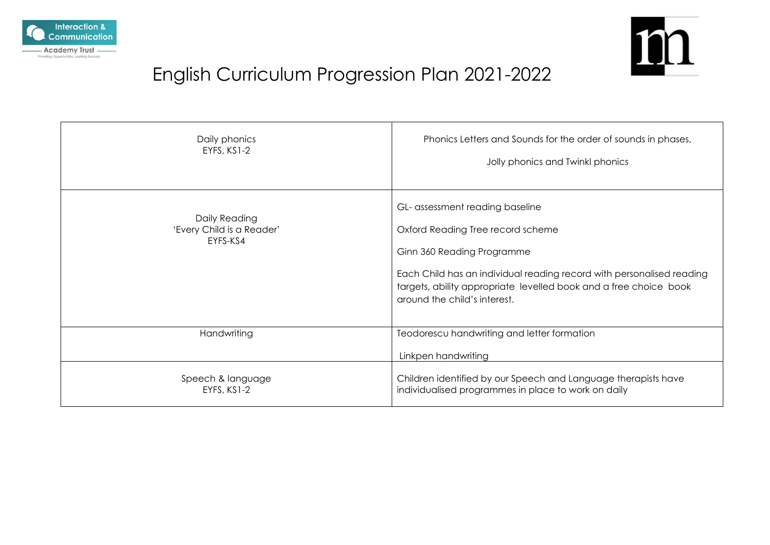



# English Curriculum Progression Plan 2021-2022

| Daily phonics                                          | Phonics Letters and Sounds for the order of sounds in phases,                                                                                                                                                                                                                    |
|--------------------------------------------------------|----------------------------------------------------------------------------------------------------------------------------------------------------------------------------------------------------------------------------------------------------------------------------------|
| EYFS, KS1-2                                            | Jolly phonics and Twinkl phonics                                                                                                                                                                                                                                                 |
| Daily Reading<br>'Every Child is a Reader'<br>EYFS-KS4 | GL- assessment reading baseline<br>Oxford Reading Tree record scheme<br>Ginn 360 Reading Programme<br>Each Child has an individual reading record with personalised reading<br>targets, ability appropriate levelled book and a free choice book<br>around the child's interest. |
| Handwriting                                            | Teodorescu handwriting and letter formation<br>Linkpen handwriting                                                                                                                                                                                                               |
| Speech & language                                      | Children identified by our Speech and Language therapists have                                                                                                                                                                                                                   |
| EYFS, KS1-2                                            | individualised programmes in place to work on daily                                                                                                                                                                                                                              |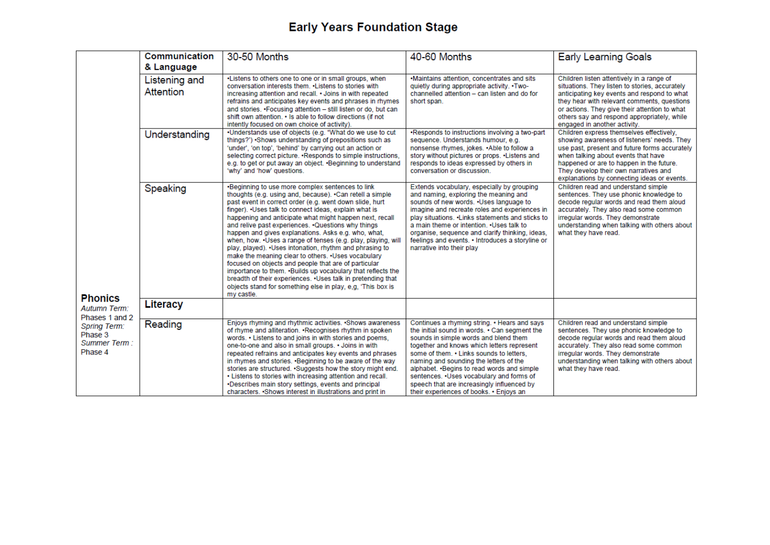# **Early Years Foundation Stage**

|                                                           | Communication<br>& Language | 30-50 Months                                                                                                                                                                                                                                                                                                                                                                                                                                                                                                                                                                                                                                                                                                                                                                                                                                                     | 40-60 Months                                                                                                                                                                                                                                                                                                                                                                                                                                                    | <b>Early Learning Goals</b>                                                                                                                                                                                                                                                                                               |
|-----------------------------------------------------------|-----------------------------|------------------------------------------------------------------------------------------------------------------------------------------------------------------------------------------------------------------------------------------------------------------------------------------------------------------------------------------------------------------------------------------------------------------------------------------------------------------------------------------------------------------------------------------------------------------------------------------------------------------------------------------------------------------------------------------------------------------------------------------------------------------------------------------------------------------------------------------------------------------|-----------------------------------------------------------------------------------------------------------------------------------------------------------------------------------------------------------------------------------------------------------------------------------------------------------------------------------------------------------------------------------------------------------------------------------------------------------------|---------------------------------------------------------------------------------------------------------------------------------------------------------------------------------------------------------------------------------------------------------------------------------------------------------------------------|
|                                                           | Listening and<br>Attention  | . Listens to others one to one or in small groups, when<br>conversation interests them. . Listens to stories with<br>increasing attention and recall. . Joins in with repeated<br>refrains and anticipates key events and phrases in rhymes<br>and stories. . Focusing attention - still listen or do, but can<br>shift own attention. • Is able to follow directions (if not<br>intently focused on own choice of activity).                                                                                                                                                                                                                                                                                                                                                                                                                                    | .Maintains attention, concentrates and sits<br>quietly during appropriate activity. . Two-<br>channelled attention - can listen and do for<br>short span.                                                                                                                                                                                                                                                                                                       | Children listen attentively in a range of<br>situations. They listen to stories, accurately<br>anticipating key events and respond to what<br>they hear with relevant comments, questions<br>or actions. They give their attention to what<br>others say and respond appropriately, while<br>engaged in another activity. |
|                                                           | Understanding               | ·Understands use of objects (e.g. "What do we use to cut<br>things?') •Shows understanding of prepositions such as<br>'under', 'on top', 'behind' by carrying out an action or<br>selecting correct picture. . Responds to simple instructions.<br>e.g. to get or put away an object. . Beginning to understand<br>'why' and 'how' questions.                                                                                                                                                                                                                                                                                                                                                                                                                                                                                                                    | .Responds to instructions involving a two-part<br>sequence. Understands humour, e.g.<br>nonsense rhymes, jokes. .Able to follow a<br>story without pictures or props. . Listens and<br>responds to ideas expressed by others in<br>conversation or discussion.                                                                                                                                                                                                  | Children express themselves effectively.<br>showing awareness of listeners' needs. They<br>use past, present and future forms accurately<br>when talking about events that have<br>happened or are to happen in the future.<br>They develop their own narratives and<br>explanations by connecting ideas or events.       |
|                                                           | Speaking                    | .Beginning to use more complex sentences to link<br>thoughts (e.g. using and, because). •Can retell a simple<br>past event in correct order (e.g. went down slide, hurt<br>finger). Uses talk to connect ideas, explain what is<br>happening and anticipate what might happen next, recall<br>and relive past experiences. . Questions why things<br>happen and gives explanations. Asks e.g. who, what,<br>when, how. . Uses a range of tenses (e.g. play, playing, will<br>play, played). •Uses intonation, rhythm and phrasing to<br>make the meaning clear to others. . Uses vocabulary<br>focused on objects and people that are of particular<br>importance to them. . Builds up vocabulary that reflects the<br>breadth of their experiences. . Uses talk in pretending that<br>objects stand for something else in play, e.g. 'This box is<br>my castle. | Extends vocabulary, especially by grouping<br>and naming, exploring the meaning and<br>sounds of new words. . Uses language to<br>imagine and recreate roles and experiences in<br>play situations. • Links statements and sticks to<br>a main theme or intention. . Uses talk to<br>organise, sequence and clarify thinking, ideas,<br>feelings and events. • Introduces a storyline or<br>narrative into their play                                           | Children read and understand simple<br>sentences. They use phonic knowledge to<br>decode regular words and read them aloud<br>accurately. They also read some common<br>irregular words. They demonstrate<br>understanding when talking with others about<br>what they have read.                                         |
| <b>Phonics</b><br><b>Autumn Term:</b><br>Phases 1 and 2   | Literacy                    |                                                                                                                                                                                                                                                                                                                                                                                                                                                                                                                                                                                                                                                                                                                                                                                                                                                                  |                                                                                                                                                                                                                                                                                                                                                                                                                                                                 |                                                                                                                                                                                                                                                                                                                           |
| <b>Spring Term:</b><br>Phase 3<br>Summer Term:<br>Phase 4 | Reading                     | Enjoys rhyming and rhythmic activities. · Shows awareness<br>of rhyme and alliteration. •Recognises rhythm in spoken<br>words. • Listens to and joins in with stories and poems,<br>one-to-one and also in small groups. . Joins in with<br>repeated refrains and anticipates key events and phrases<br>in rhymes and stories. . Beginning to be aware of the way<br>stories are structured. · Suggests how the story might end.<br>. Listens to stories with increasing attention and recall.<br>. Describes main story settings, events and principal<br>characters. • Shows interest in illustrations and print in                                                                                                                                                                                                                                            | Continues a rhyming string. • Hears and says<br>the initial sound in words. • Can segment the<br>sounds in simple words and blend them<br>together and knows which letters represent<br>some of them. . Links sounds to letters.<br>naming and sounding the letters of the<br>alphabet. • Begins to read words and simple<br>sentences. . Uses vocabulary and forms of<br>speech that are increasingly influenced by<br>their experiences of books. • Enjoys an | Children read and understand simple<br>sentences. They use phonic knowledge to<br>decode regular words and read them aloud<br>accurately. They also read some common<br>irregular words. They demonstrate<br>understanding when talking with others about<br>what they have read.                                         |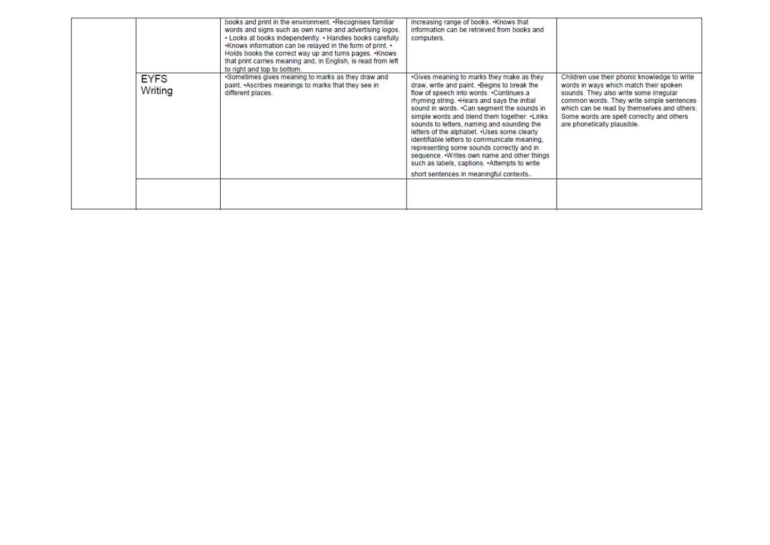|                        | books and print in the environment. • Recognises familiar<br>words and signs such as own name and advertising logos.<br>. Looks at books independently. . Handles books carefully.<br>. Knows information can be relayed in the form of print. •<br>Holds books the correct way up and turns pages. •Knows<br>that print carries meaning and, in English, is read from left<br>to right and top to bottom. | increasing range of books. . Knows that<br>information can be retrieved from books and<br>computers.                                                                                                                                                                                                                                                                                                                                                                                                                                                                                                                      |                                                                                                                                                                                                                                                                                                          |
|------------------------|------------------------------------------------------------------------------------------------------------------------------------------------------------------------------------------------------------------------------------------------------------------------------------------------------------------------------------------------------------------------------------------------------------|---------------------------------------------------------------------------------------------------------------------------------------------------------------------------------------------------------------------------------------------------------------------------------------------------------------------------------------------------------------------------------------------------------------------------------------------------------------------------------------------------------------------------------------------------------------------------------------------------------------------------|----------------------------------------------------------------------------------------------------------------------------------------------------------------------------------------------------------------------------------------------------------------------------------------------------------|
| <b>EYFS</b><br>Writing | •Sometimes gives meaning to marks as they draw and<br>paint. Ascribes meanings to marks that they see in<br>different places.                                                                                                                                                                                                                                                                              | •Gives meaning to marks they make as they<br>draw, write and paint. •Begins to break the<br>flow of speech into words. .Continues a<br>rhyming string. . Hears and says the initial<br>sound in words. .Can segment the sounds in<br>simple words and blend them together. . Links<br>sounds to letters, naming and sounding the<br>letters of the alphabet. . Uses some clearly<br>identifiable letters to communicate meaning.<br>representing some sounds correctly and in<br>sequence. • Writes own name and other things<br>such as labels, captions. • Attempts to write<br>short sentences in meaningful contexts. | Children use their phonic knowledge to write<br>words in ways which match their spoken<br>sounds. They also write some irregular<br>common words. They write simple sentences<br>which can be read by themselves and others.<br>Some words are spelt correctly and others<br>are phonetically plausible. |
|                        |                                                                                                                                                                                                                                                                                                                                                                                                            |                                                                                                                                                                                                                                                                                                                                                                                                                                                                                                                                                                                                                           |                                                                                                                                                                                                                                                                                                          |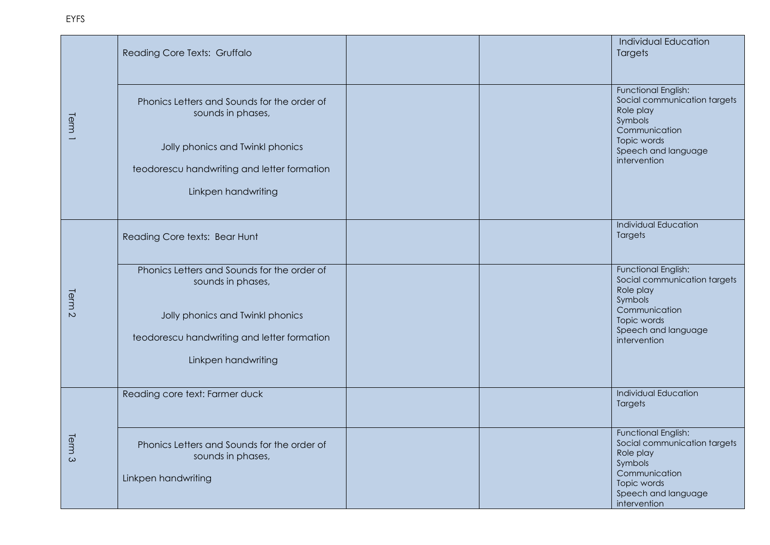| Reading Core Texts: Gruffalo                                                            |                                                                                            | Individual Education<br>Targets                                                                                                                           |
|-----------------------------------------------------------------------------------------|--------------------------------------------------------------------------------------------|-----------------------------------------------------------------------------------------------------------------------------------------------------------|
| Phonics Letters and Sounds for the order of<br>sounds in phases,                        |                                                                                            | Functional English:<br>Social communication targets<br>Role play<br>Symbols<br>Communication                                                              |
| Jolly phonics and Twinkl phonics                                                        |                                                                                            | Topic words<br>Speech and language<br>intervention                                                                                                        |
|                                                                                         |                                                                                            |                                                                                                                                                           |
| Linkpen handwriting                                                                     |                                                                                            |                                                                                                                                                           |
|                                                                                         |                                                                                            |                                                                                                                                                           |
| Reading Core texts: Bear Hunt                                                           |                                                                                            | <b>Individual Education</b><br>Targets                                                                                                                    |
| Phonics Letters and Sounds for the order of<br>sounds in phases,                        |                                                                                            | <b>Functional English:</b><br>Social communication targets<br>Role play<br>Symbols                                                                        |
| Jolly phonics and Twinkl phonics                                                        |                                                                                            | Communication<br>Topic words<br>Speech and language                                                                                                       |
| Linkpen handwriting                                                                     |                                                                                            | intervention                                                                                                                                              |
| Reading core text: Farmer duck                                                          |                                                                                            | Individual Education<br>Targets                                                                                                                           |
| Phonics Letters and Sounds for the order of<br>sounds in phases,<br>Linkpen handwriting |                                                                                            | <b>Functional English:</b><br>Social communication targets<br>Role play<br>Symbols<br>Communication<br>Topic words<br>Speech and language<br>intervention |
|                                                                                         | teodorescu handwriting and letter formation<br>teodorescu handwriting and letter formation |                                                                                                                                                           |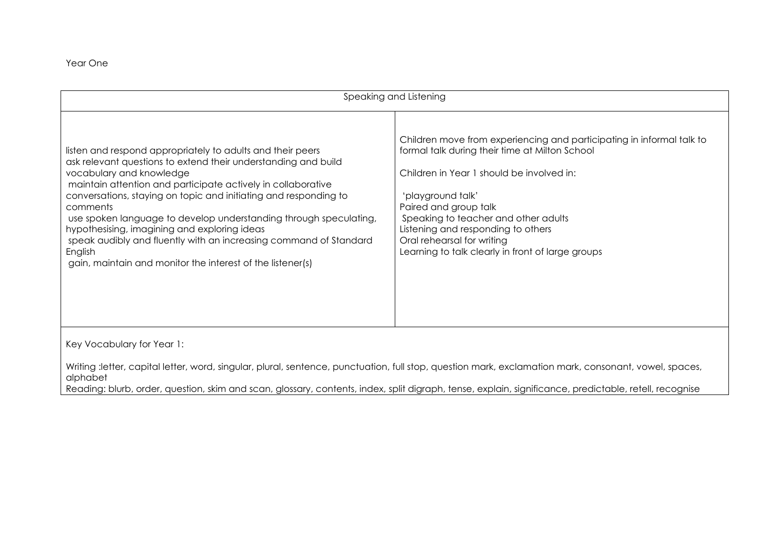Year One

| Speaking and Listening                                                                                                                                                                                                                                                                                                                                                                                                                                                                                                                                                      |                                                                                                                                                                                                                                                                                                                                                                                     |  |
|-----------------------------------------------------------------------------------------------------------------------------------------------------------------------------------------------------------------------------------------------------------------------------------------------------------------------------------------------------------------------------------------------------------------------------------------------------------------------------------------------------------------------------------------------------------------------------|-------------------------------------------------------------------------------------------------------------------------------------------------------------------------------------------------------------------------------------------------------------------------------------------------------------------------------------------------------------------------------------|--|
| listen and respond appropriately to adults and their peers<br>ask relevant questions to extend their understanding and build<br>vocabulary and knowledge<br>maintain attention and participate actively in collaborative<br>conversations, staying on topic and initiating and responding to<br>comments<br>use spoken language to develop understanding through speculating,<br>hypothesising, imagining and exploring ideas<br>speak audibly and fluently with an increasing command of Standard<br>English<br>gain, maintain and monitor the interest of the listener(s) | Children move from experiencing and participating in informal talk to<br>formal talk during their time at Milton School<br>Children in Year 1 should be involved in:<br>'playground talk'<br>Paired and group talk<br>Speaking to teacher and other adults<br>Listening and responding to others<br>Oral rehearsal for writing<br>Learning to talk clearly in front of large groups |  |
| Key Vocabulary for Year 1:                                                                                                                                                                                                                                                                                                                                                                                                                                                                                                                                                  |                                                                                                                                                                                                                                                                                                                                                                                     |  |
| Writing :letter, capital letter, word, singular, plural, sentence, punctuation, full stop, question mark, exclamation mark, consonant, vowel, spaces,<br>alphabet<br>Reading: blurb, order, question, skim and scan, glossary, contents, index, split digraph, tense, explain, significance, predictable, retell, recognise                                                                                                                                                                                                                                                 |                                                                                                                                                                                                                                                                                                                                                                                     |  |

Reading: blurb, order, question, skim and scan, glossary, contents, index, split digraph, tense, explain, significance, predictable, retell, recognise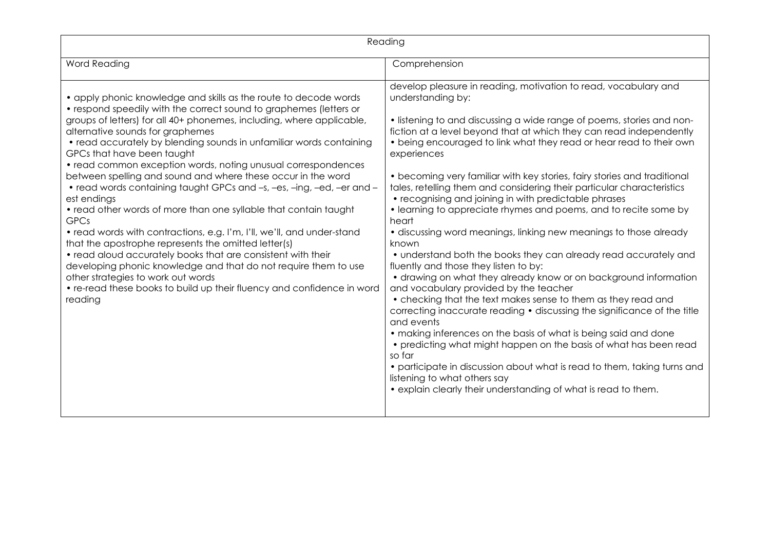| Reading                                                                                                                                                                                                                                                                                                                                                                                                                                                                                                                                                                                                                                                                                                                                                                                                                                                                                                                                                                                                                                                              |                                                                                                                                                                                                                                                                                                                                                                                                                                                                                                                                                                                                                                                                                                                                                                                                                                                                                                                                                                                                                                                                                                                                                                                                                                                                                                                                                                                                                            |  |
|----------------------------------------------------------------------------------------------------------------------------------------------------------------------------------------------------------------------------------------------------------------------------------------------------------------------------------------------------------------------------------------------------------------------------------------------------------------------------------------------------------------------------------------------------------------------------------------------------------------------------------------------------------------------------------------------------------------------------------------------------------------------------------------------------------------------------------------------------------------------------------------------------------------------------------------------------------------------------------------------------------------------------------------------------------------------|----------------------------------------------------------------------------------------------------------------------------------------------------------------------------------------------------------------------------------------------------------------------------------------------------------------------------------------------------------------------------------------------------------------------------------------------------------------------------------------------------------------------------------------------------------------------------------------------------------------------------------------------------------------------------------------------------------------------------------------------------------------------------------------------------------------------------------------------------------------------------------------------------------------------------------------------------------------------------------------------------------------------------------------------------------------------------------------------------------------------------------------------------------------------------------------------------------------------------------------------------------------------------------------------------------------------------------------------------------------------------------------------------------------------------|--|
| Word Reading                                                                                                                                                                                                                                                                                                                                                                                                                                                                                                                                                                                                                                                                                                                                                                                                                                                                                                                                                                                                                                                         | Comprehension                                                                                                                                                                                                                                                                                                                                                                                                                                                                                                                                                                                                                                                                                                                                                                                                                                                                                                                                                                                                                                                                                                                                                                                                                                                                                                                                                                                                              |  |
| • apply phonic knowledge and skills as the route to decode words<br>• respond speedily with the correct sound to graphemes (letters or<br>groups of letters) for all 40+ phonemes, including, where applicable,<br>alternative sounds for graphemes<br>• read accurately by blending sounds in unfamiliar words containing<br>GPCs that have been taught<br>• read common exception words, noting unusual correspondences<br>between spelling and sound and where these occur in the word<br>• read words containing taught GPCs and -s, -es, -ing, -ed, -er and -<br>est endings<br>• read other words of more than one syllable that contain taught<br><b>GPCs</b><br>• read words with contractions, e.g. I'm, I'll, we'll, and under-stand<br>that the apostrophe represents the omitted letter(s)<br>• read aloud accurately books that are consistent with their<br>developing phonic knowledge and that do not require them to use<br>other strategies to work out words<br>• re-read these books to build up their fluency and confidence in word<br>reading | develop pleasure in reading, motivation to read, vocabulary and<br>understanding by:<br>• listening to and discussing a wide range of poems, stories and non-<br>fiction at a level beyond that at which they can read independently<br>• being encouraged to link what they read or hear read to their own<br>experiences<br>• becoming very familiar with key stories, fairy stories and traditional<br>tales, retelling them and considering their particular characteristics<br>• recognising and joining in with predictable phrases<br>• learning to appreciate rhymes and poems, and to recite some by<br>heart<br>• discussing word meanings, linking new meanings to those already<br>known<br>• understand both the books they can already read accurately and<br>fluently and those they listen to by:<br>• drawing on what they already know or on background information<br>and vocabulary provided by the teacher<br>• checking that the text makes sense to them as they read and<br>correcting inaccurate reading • discussing the significance of the title<br>and events<br>• making inferences on the basis of what is being said and done<br>• predicting what might happen on the basis of what has been read<br>so far<br>• participate in discussion about what is read to them, taking turns and<br>listening to what others say<br>• explain clearly their understanding of what is read to them. |  |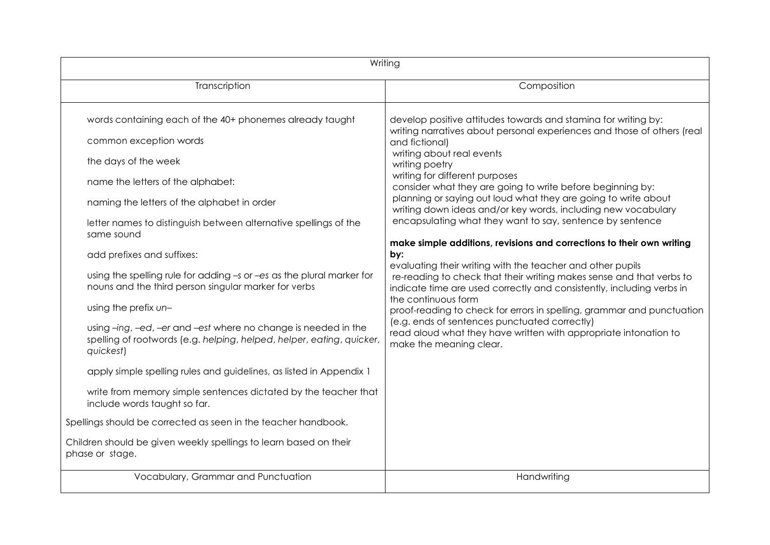| Writing                                                                                                                                                                                                                                                                                                                                                                                                                                                                                                                                                                                                                                                                                                                                                                   |                                                                                                                                                                                                                                                                                                                                                                                                                                                                                                                                                                                                                                                                                                                                                                                                                                                                                                                                                                                                                                                            |
|---------------------------------------------------------------------------------------------------------------------------------------------------------------------------------------------------------------------------------------------------------------------------------------------------------------------------------------------------------------------------------------------------------------------------------------------------------------------------------------------------------------------------------------------------------------------------------------------------------------------------------------------------------------------------------------------------------------------------------------------------------------------------|------------------------------------------------------------------------------------------------------------------------------------------------------------------------------------------------------------------------------------------------------------------------------------------------------------------------------------------------------------------------------------------------------------------------------------------------------------------------------------------------------------------------------------------------------------------------------------------------------------------------------------------------------------------------------------------------------------------------------------------------------------------------------------------------------------------------------------------------------------------------------------------------------------------------------------------------------------------------------------------------------------------------------------------------------------|
| Transcription                                                                                                                                                                                                                                                                                                                                                                                                                                                                                                                                                                                                                                                                                                                                                             | Composition                                                                                                                                                                                                                                                                                                                                                                                                                                                                                                                                                                                                                                                                                                                                                                                                                                                                                                                                                                                                                                                |
| words containing each of the 40+ phonemes already taught<br>common exception words<br>the days of the week<br>name the letters of the alphabet:<br>naming the letters of the alphabet in order<br>letter names to distinguish between alternative spellings of the<br>same sound<br>add prefixes and suffixes:<br>using the spelling rule for adding -s or -es as the plural marker for<br>nouns and the third person singular marker for verbs<br>using the prefix un-<br>using -ing, -ed, -er and -est where no change is needed in the<br>spelling of rootwords (e.g. helping, helped, helper, eating, quicker,<br>quickest)<br>apply simple spelling rules and guidelines, as listed in Appendix 1<br>write from memory simple sentences dictated by the teacher that | develop positive attitudes towards and stamina for writing by:<br>writing narratives about personal experiences and those of others (real<br>and fictional)<br>writing about real events<br>writing poetry<br>writing for different purposes<br>consider what they are going to write before beginning by:<br>planning or saying out loud what they are going to write about<br>writing down ideas and/or key words, including new vocabulary<br>encapsulating what they want to say, sentence by sentence<br>make simple additions, revisions and corrections to their own writing<br>by:<br>evaluating their writing with the teacher and other pupils<br>re-reading to check that their writing makes sense and that verbs to<br>indicate time are used correctly and consistently, including verbs in<br>the continuous form<br>proof-reading to check for errors in spelling, grammar and punctuation<br>(e.g. ends of sentences punctuated correctly)<br>read aloud what they have written with appropriate intonation to<br>make the meaning clear. |
| include words taught so far.<br>Spellings should be corrected as seen in the teacher handbook.                                                                                                                                                                                                                                                                                                                                                                                                                                                                                                                                                                                                                                                                            |                                                                                                                                                                                                                                                                                                                                                                                                                                                                                                                                                                                                                                                                                                                                                                                                                                                                                                                                                                                                                                                            |
| Children should be given weekly spellings to learn based on their<br>phase or stage.                                                                                                                                                                                                                                                                                                                                                                                                                                                                                                                                                                                                                                                                                      |                                                                                                                                                                                                                                                                                                                                                                                                                                                                                                                                                                                                                                                                                                                                                                                                                                                                                                                                                                                                                                                            |
| Vocabulary, Grammar and Punctuation                                                                                                                                                                                                                                                                                                                                                                                                                                                                                                                                                                                                                                                                                                                                       | Handwriting                                                                                                                                                                                                                                                                                                                                                                                                                                                                                                                                                                                                                                                                                                                                                                                                                                                                                                                                                                                                                                                |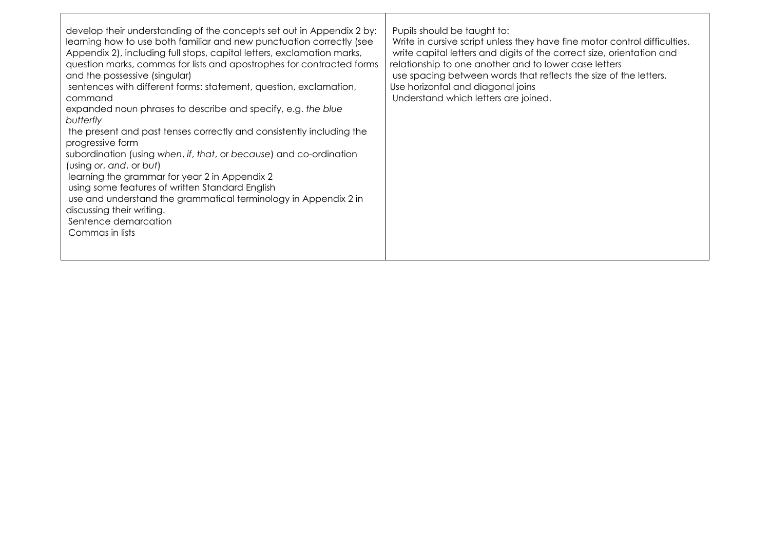| develop their understanding of the concepts set out in Appendix 2 by:<br>learning how to use both familiar and new punctuation correctly (see<br>Appendix 2), including full stops, capital letters, exclamation marks,<br>question marks, commas for lists and apostrophes for contracted forms<br>and the possessive (singular)<br>sentences with different forms: statement, question, exclamation,<br>command<br>expanded noun phrases to describe and specify, e.g. the blue<br>butterfly<br>the present and past tenses correctly and consistently including the<br>progressive form<br>subordination (using when, if, that, or because) and co-ordination<br>(using or, and, or but)<br>learning the grammar for year 2 in Appendix 2<br>using some features of written Standard English<br>use and understand the grammatical terminology in Appendix 2 in<br>discussing their writing.<br>Sentence demarcation<br>Commas in lists | Pupils should be taught to:<br>Write in cursive script unless they have fine motor control difficulties.<br>write capital letters and digits of the correct size, orientation and<br>relationship to one another and to lower case letters<br>use spacing between words that reflects the size of the letters.<br>Use horizontal and diagonal joins<br>Understand which letters are joined. |
|--------------------------------------------------------------------------------------------------------------------------------------------------------------------------------------------------------------------------------------------------------------------------------------------------------------------------------------------------------------------------------------------------------------------------------------------------------------------------------------------------------------------------------------------------------------------------------------------------------------------------------------------------------------------------------------------------------------------------------------------------------------------------------------------------------------------------------------------------------------------------------------------------------------------------------------------|---------------------------------------------------------------------------------------------------------------------------------------------------------------------------------------------------------------------------------------------------------------------------------------------------------------------------------------------------------------------------------------------|
|--------------------------------------------------------------------------------------------------------------------------------------------------------------------------------------------------------------------------------------------------------------------------------------------------------------------------------------------------------------------------------------------------------------------------------------------------------------------------------------------------------------------------------------------------------------------------------------------------------------------------------------------------------------------------------------------------------------------------------------------------------------------------------------------------------------------------------------------------------------------------------------------------------------------------------------------|---------------------------------------------------------------------------------------------------------------------------------------------------------------------------------------------------------------------------------------------------------------------------------------------------------------------------------------------------------------------------------------------|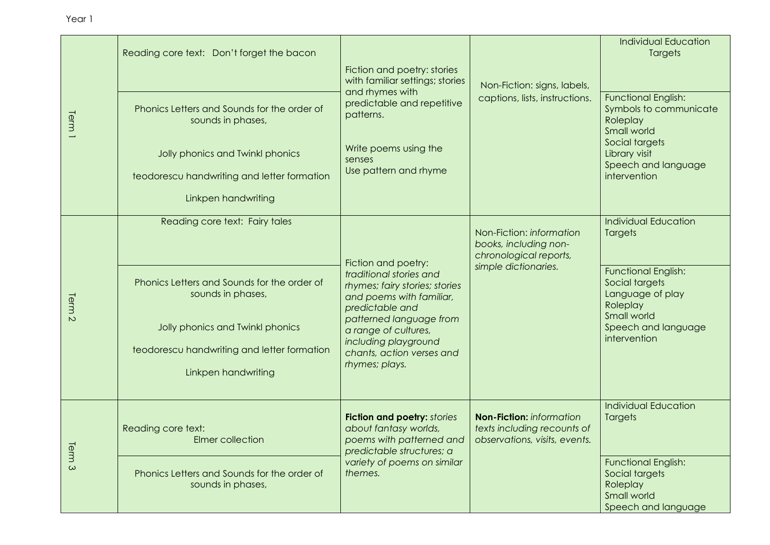| ear 1 |                                                                  |                     |
|-------|------------------------------------------------------------------|---------------------|
|       | Reading core text: Don't forget the bacon                        | <b>Fic1</b><br>witl |
|       | Phonics Letters and Sounds for the order of<br>sounds in phases, | an<br>pre<br>ba.    |

| Term <sup>1</sup> | Phonics Letters and Sounds for the order of<br>sounds in phases,<br>Jolly phonics and Twinkl phonics<br>teodorescu handwriting and letter formation<br>Linkpen handwriting                                   | Fiction and poetry: stories<br>with familiar settings; stories<br>and rhymes with<br>predictable and repetitive<br>patterns.<br>Write poems using the<br>senses<br>Use pattern and rhyme                                                                  | Non-Fiction: signs, labels,<br>captions, lists, instructions.                                       | <b>Functional English:</b><br>Symbols to communicate<br>Roleplay<br>Small world<br>Social targets<br>Library visit<br>Speech and language<br>intervention                    |
|-------------------|--------------------------------------------------------------------------------------------------------------------------------------------------------------------------------------------------------------|-----------------------------------------------------------------------------------------------------------------------------------------------------------------------------------------------------------------------------------------------------------|-----------------------------------------------------------------------------------------------------|------------------------------------------------------------------------------------------------------------------------------------------------------------------------------|
| Term <sub>2</sub> | Reading core text: Fairy tales<br>Phonics Letters and Sounds for the order of<br>sounds in phases,<br>Jolly phonics and Twinkl phonics<br>teodorescu handwriting and letter formation<br>Linkpen handwriting | Fiction and poetry:<br>traditional stories and<br>rhymes; fairy stories; stories<br>and poems with familiar,<br>predictable and<br>patterned language from<br>a range of cultures,<br>including playground<br>chants, action verses and<br>rhymes; plays. | Non-Fiction: information<br>books, including non-<br>chronological reports,<br>simple dictionaries. | <b>Individual Education</b><br>Targets<br><b>Functional English:</b><br>Social targets<br>Language of play<br>Roleplay<br>Small world<br>Speech and language<br>intervention |
| Term <sub>3</sub> | Reading core text:<br>Elmer collection<br>Phonics Letters and Sounds for the order of<br>sounds in phases,                                                                                                   | <b>Fiction and poetry: stories</b><br>about fantasy worlds,<br>poems with patterned and<br>predictable structures; a<br>variety of poems on similar<br>themes.                                                                                            | Non-Fiction: information<br>texts including recounts of<br>observations, visits, events.            | <b>Individual Education</b><br><b>Targets</b><br><b>Functional English:</b><br>Social targets<br>Roleplay<br>Small world<br>Speech and language                              |

Individual Education **Targets**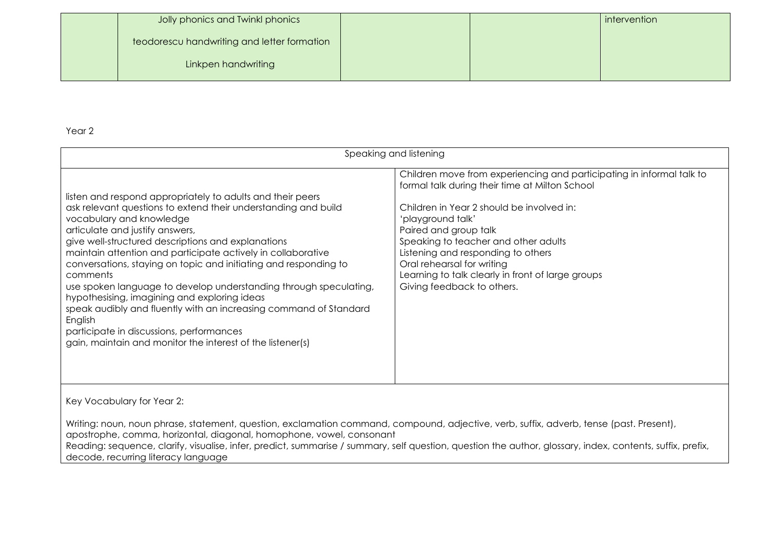| Jolly phonics and Twinkl phonics            |  | intervention |
|---------------------------------------------|--|--------------|
| teodorescu handwriting and letter formation |  |              |
| Linkpen handwriting                         |  |              |
|                                             |  |              |

| Speaking and listening                                                                                                                                                                                                                                                                                                                                                                                                                                                                                                                                                                                                                                                                                           |                                                                                                                                                                                                                                                                                                                                                                                                                   |  |
|------------------------------------------------------------------------------------------------------------------------------------------------------------------------------------------------------------------------------------------------------------------------------------------------------------------------------------------------------------------------------------------------------------------------------------------------------------------------------------------------------------------------------------------------------------------------------------------------------------------------------------------------------------------------------------------------------------------|-------------------------------------------------------------------------------------------------------------------------------------------------------------------------------------------------------------------------------------------------------------------------------------------------------------------------------------------------------------------------------------------------------------------|--|
| listen and respond appropriately to adults and their peers<br>ask relevant questions to extend their understanding and build<br>vocabulary and knowledge<br>articulate and justify answers,<br>give well-structured descriptions and explanations<br>maintain attention and participate actively in collaborative<br>conversations, staying on topic and initiating and responding to<br>comments<br>use spoken language to develop understanding through speculating,<br>hypothesising, imagining and exploring ideas<br>speak audibly and fluently with an increasing command of Standard<br>English<br>participate in discussions, performances<br>gain, maintain and monitor the interest of the listener(s) | Children move from experiencing and participating in informal talk to<br>formal talk during their time at Milton School<br>Children in Year 2 should be involved in:<br>'playground talk'<br>Paired and group talk<br>Speaking to teacher and other adults<br>Listening and responding to others<br>Oral rehearsal for writing<br>Learning to talk clearly in front of large groups<br>Giving feedback to others. |  |

Key Vocabulary for Year 2:

Writing: noun, noun phrase, statement, question, exclamation command, compound, adjective, verb, suffix, adverb, tense (past. Present), apostrophe, comma, horizontal, diagonal, homophone, vowel, consonant

Reading: sequence, clarify, visualise, infer, predict, summarise / summary, self question, question the author, glossary, index, contents, suffix, prefix, decode, recurring literacy language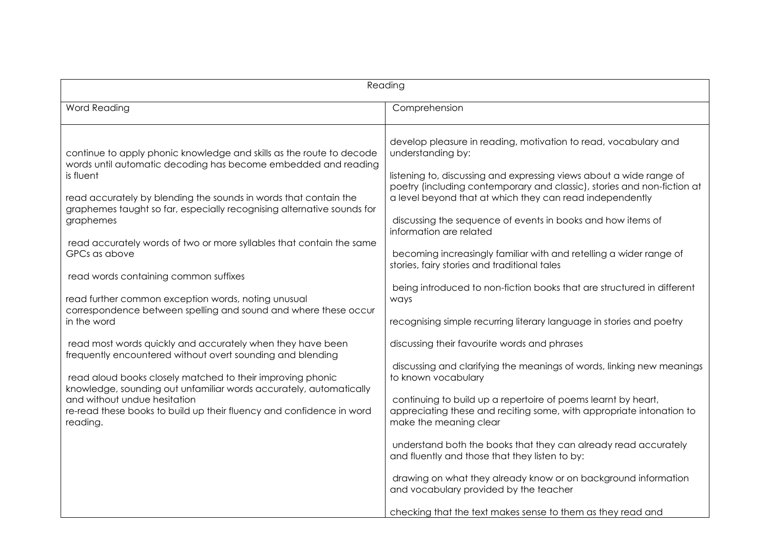| Reading                                                                                                                                                                                                                                                                                                                                                                                                                                                                                                                                                                                                                                                                                                                                                                                                                                                                                                                                                                       |                                                                                                                                                                                                                                                                                                                                                                                                                                                                                                                                                                                                                                                                                                                                                                                                                                                                                                                                                                                                                                                                                                                                                                                                                                                                                                 |  |
|-------------------------------------------------------------------------------------------------------------------------------------------------------------------------------------------------------------------------------------------------------------------------------------------------------------------------------------------------------------------------------------------------------------------------------------------------------------------------------------------------------------------------------------------------------------------------------------------------------------------------------------------------------------------------------------------------------------------------------------------------------------------------------------------------------------------------------------------------------------------------------------------------------------------------------------------------------------------------------|-------------------------------------------------------------------------------------------------------------------------------------------------------------------------------------------------------------------------------------------------------------------------------------------------------------------------------------------------------------------------------------------------------------------------------------------------------------------------------------------------------------------------------------------------------------------------------------------------------------------------------------------------------------------------------------------------------------------------------------------------------------------------------------------------------------------------------------------------------------------------------------------------------------------------------------------------------------------------------------------------------------------------------------------------------------------------------------------------------------------------------------------------------------------------------------------------------------------------------------------------------------------------------------------------|--|
| <b>Word Reading</b>                                                                                                                                                                                                                                                                                                                                                                                                                                                                                                                                                                                                                                                                                                                                                                                                                                                                                                                                                           | Comprehension                                                                                                                                                                                                                                                                                                                                                                                                                                                                                                                                                                                                                                                                                                                                                                                                                                                                                                                                                                                                                                                                                                                                                                                                                                                                                   |  |
| continue to apply phonic knowledge and skills as the route to decode<br>words until automatic decoding has become embedded and reading<br>is fluent<br>read accurately by blending the sounds in words that contain the<br>graphemes taught so far, especially recognising alternative sounds for<br>graphemes<br>read accurately words of two or more syllables that contain the same<br>GPCs as above<br>read words containing common suffixes<br>read further common exception words, noting unusual<br>correspondence between spelling and sound and where these occur<br>in the word<br>read most words quickly and accurately when they have been<br>frequently encountered without overt sounding and blending<br>read aloud books closely matched to their improving phonic<br>knowledge, sounding out unfamiliar words accurately, automatically<br>and without undue hesitation<br>re-read these books to build up their fluency and confidence in word<br>reading. | develop pleasure in reading, motivation to read, vocabulary and<br>understanding by:<br>listening to, discussing and expressing views about a wide range of<br>poetry (including contemporary and classic), stories and non-fiction at<br>a level beyond that at which they can read independently<br>discussing the sequence of events in books and how items of<br>information are related<br>becoming increasingly familiar with and retelling a wider range of<br>stories, fairy stories and traditional tales<br>being introduced to non-fiction books that are structured in different<br>ways<br>recognising simple recurring literary language in stories and poetry<br>discussing their favourite words and phrases<br>discussing and clarifying the meanings of words, linking new meanings<br>to known vocabulary<br>continuing to build up a repertoire of poems learnt by heart,<br>appreciating these and reciting some, with appropriate intonation to<br>make the meaning clear<br>understand both the books that they can already read accurately<br>and fluently and those that they listen to by:<br>drawing on what they already know or on background information<br>and vocabulary provided by the teacher<br>checking that the text makes sense to them as they read and |  |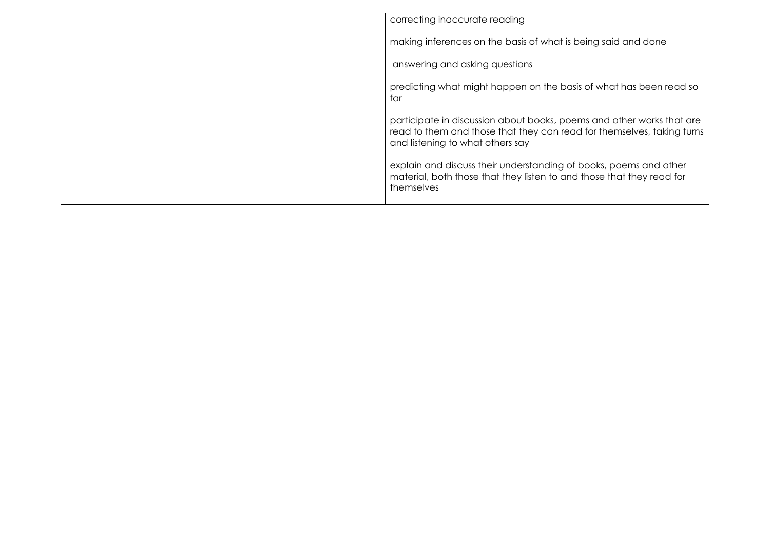| correcting inaccurate reading                                                                                                                                                       |
|-------------------------------------------------------------------------------------------------------------------------------------------------------------------------------------|
| making inferences on the basis of what is being said and done                                                                                                                       |
| answering and asking questions                                                                                                                                                      |
| predicting what might happen on the basis of what has been read so<br>far                                                                                                           |
| participate in discussion about books, poems and other works that are<br>read to them and those that they can read for themselves, taking turns<br>and listening to what others say |
| explain and discuss their understanding of books, poems and other<br>material, both those that they listen to and those that they read for<br>themselves                            |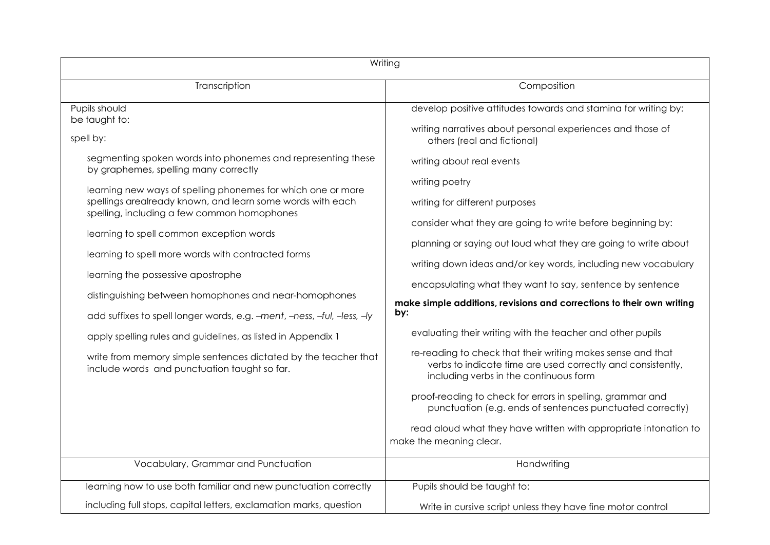| Writing                                                                                                         |                                                                                                                                                                      |  |
|-----------------------------------------------------------------------------------------------------------------|----------------------------------------------------------------------------------------------------------------------------------------------------------------------|--|
| Transcription                                                                                                   | Composition                                                                                                                                                          |  |
| Pupils should<br>be taught to:                                                                                  | develop positive attitudes towards and stamina for writing by:                                                                                                       |  |
| spell by:                                                                                                       | writing narratives about personal experiences and those of<br>others (real and fictional)                                                                            |  |
| segmenting spoken words into phonemes and representing these<br>by graphemes, spelling many correctly           | writing about real events                                                                                                                                            |  |
| learning new ways of spelling phonemes for which one or more                                                    | writing poetry                                                                                                                                                       |  |
| spellings arealready known, and learn some words with each<br>spelling, including a few common homophones       | writing for different purposes                                                                                                                                       |  |
| learning to spell common exception words                                                                        | consider what they are going to write before beginning by:                                                                                                           |  |
| learning to spell more words with contracted forms                                                              | planning or saying out loud what they are going to write about                                                                                                       |  |
| learning the possessive apostrophe                                                                              | writing down ideas and/or key words, including new vocabulary<br>encapsulating what they want to say, sentence by sentence                                           |  |
| distinguishing between homophones and near-homophones                                                           | make simple additions, revisions and corrections to their own writing                                                                                                |  |
| add suffixes to spell longer words, e.g. -ment, -ness, -ful, -less, -ly                                         | by:                                                                                                                                                                  |  |
| apply spelling rules and guidelines, as listed in Appendix 1                                                    | evaluating their writing with the teacher and other pupils                                                                                                           |  |
| write from memory simple sentences dictated by the teacher that<br>include words and punctuation taught so far. | re-reading to check that their writing makes sense and that<br>verbs to indicate time are used correctly and consistently,<br>including verbs in the continuous form |  |
|                                                                                                                 | proof-reading to check for errors in spelling, grammar and<br>punctuation (e.g. ends of sentences punctuated correctly)                                              |  |
|                                                                                                                 | read aloud what they have written with appropriate intonation to<br>make the meaning clear.                                                                          |  |
| Vocabulary, Grammar and Punctuation                                                                             | Handwriting                                                                                                                                                          |  |
| learning how to use both familiar and new punctuation correctly                                                 | Pupils should be taught to:                                                                                                                                          |  |
| including full stops, capital letters, exclamation marks, question                                              | Write in cursive script unless they have fine motor control                                                                                                          |  |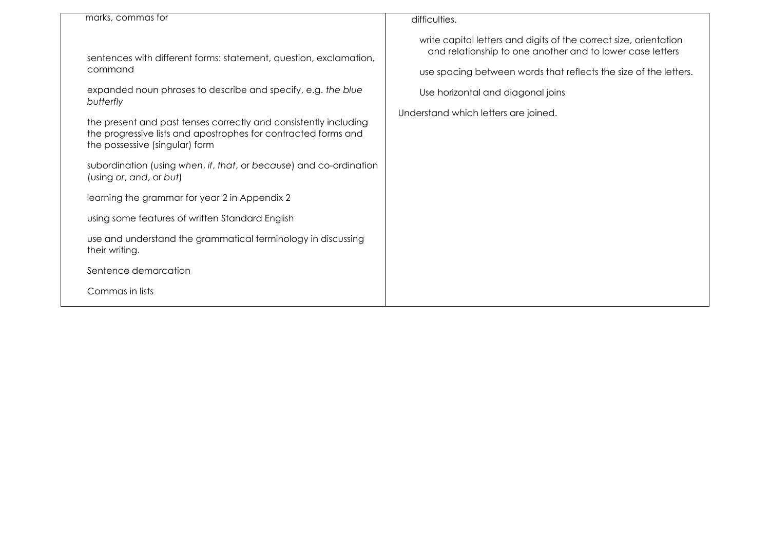|                                                                                                                                                                                                                                                                                                                                                                                                                                                         | difficulties.                                                                                                                                                                                                                                                                   |
|---------------------------------------------------------------------------------------------------------------------------------------------------------------------------------------------------------------------------------------------------------------------------------------------------------------------------------------------------------------------------------------------------------------------------------------------------------|---------------------------------------------------------------------------------------------------------------------------------------------------------------------------------------------------------------------------------------------------------------------------------|
| marks, commas for<br>sentences with different forms: statement, question, exclamation,<br>command<br>expanded noun phrases to describe and specify, e.g. the blue<br>butterfly<br>the present and past tenses correctly and consistently including<br>the progressive lists and apostrophes for contracted forms and<br>the possessive (singular) form<br>subordination (using when, if, that, or because) and co-ordination<br>(using or, and, or but) | write capital letters and digits of the correct size, orientation<br>and relationship to one another and to lower case letters<br>use spacing between words that reflects the size of the letters.<br>Use horizontal and diagonal joins<br>Understand which letters are joined. |
| learning the grammar for year 2 in Appendix 2                                                                                                                                                                                                                                                                                                                                                                                                           |                                                                                                                                                                                                                                                                                 |
| using some features of written Standard English                                                                                                                                                                                                                                                                                                                                                                                                         |                                                                                                                                                                                                                                                                                 |
| use and understand the grammatical terminology in discussing<br>their writing.                                                                                                                                                                                                                                                                                                                                                                          |                                                                                                                                                                                                                                                                                 |
| Sentence demarcation                                                                                                                                                                                                                                                                                                                                                                                                                                    |                                                                                                                                                                                                                                                                                 |
| Commas in lists                                                                                                                                                                                                                                                                                                                                                                                                                                         |                                                                                                                                                                                                                                                                                 |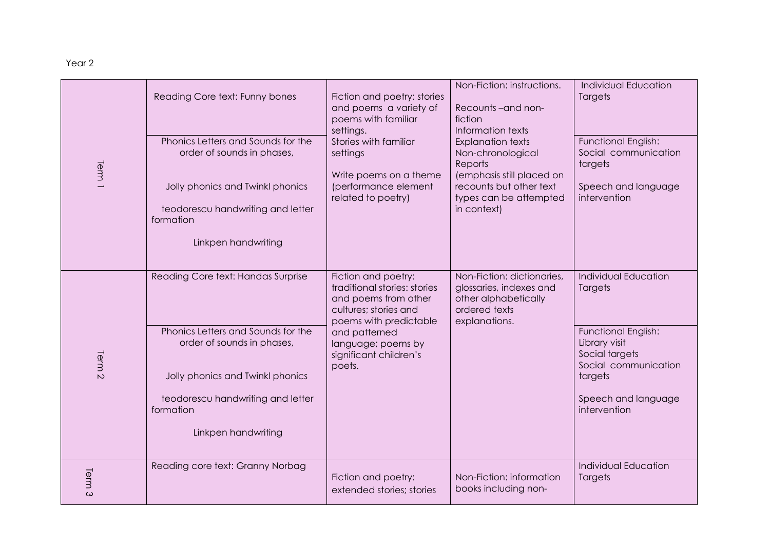| Term <sup>1</sup>      | Reading Core text: Funny bones<br>Phonics Letters and Sounds for the<br>order of sounds in phases,<br>Jolly phonics and Twinkl phonics<br>teodorescu handwriting and letter<br>formation<br>Linkpen handwriting     | Fiction and poetry: stories<br>and poems a variety of<br>poems with familiar<br>settings.<br>Stories with familiar<br>settings<br>Write poems on a theme<br>(performance element<br>related to poetry)    | Non-Fiction: instructions.<br>Recounts-and non-<br>fiction<br>Information texts<br><b>Explanation texts</b><br>Non-chronological<br>Reports<br>(emphasis still placed on<br>recounts but other text<br>types can be attempted<br>in context) | Individual Education<br>Targets<br>Functional English:<br>Social communication<br>targets<br>Speech and language<br>intervention                                           |
|------------------------|---------------------------------------------------------------------------------------------------------------------------------------------------------------------------------------------------------------------|-----------------------------------------------------------------------------------------------------------------------------------------------------------------------------------------------------------|----------------------------------------------------------------------------------------------------------------------------------------------------------------------------------------------------------------------------------------------|----------------------------------------------------------------------------------------------------------------------------------------------------------------------------|
| Term<br>$\overline{C}$ | Reading Core text: Handas Surprise<br>Phonics Letters and Sounds for the<br>order of sounds in phases,<br>Jolly phonics and Twinkl phonics<br>teodorescu handwriting and letter<br>formation<br>Linkpen handwriting | Fiction and poetry:<br>traditional stories: stories<br>and poems from other<br>cultures; stories and<br>poems with predictable<br>and patterned<br>language; poems by<br>significant children's<br>poets. | Non-Fiction: dictionaries,<br>glossaries, indexes and<br>other alphabetically<br>ordered texts<br>explanations.                                                                                                                              | <b>Individual Education</b><br>Targets<br>Functional English:<br>Library visit<br>Social targets<br>Social communication<br>targets<br>Speech and language<br>intervention |
| Term <sub>3</sub>      | Reading core text: Granny Norbag                                                                                                                                                                                    | Fiction and poetry:<br>extended stories; stories                                                                                                                                                          | Non-Fiction: information<br>books including non-                                                                                                                                                                                             | <b>Individual Education</b><br>Targets                                                                                                                                     |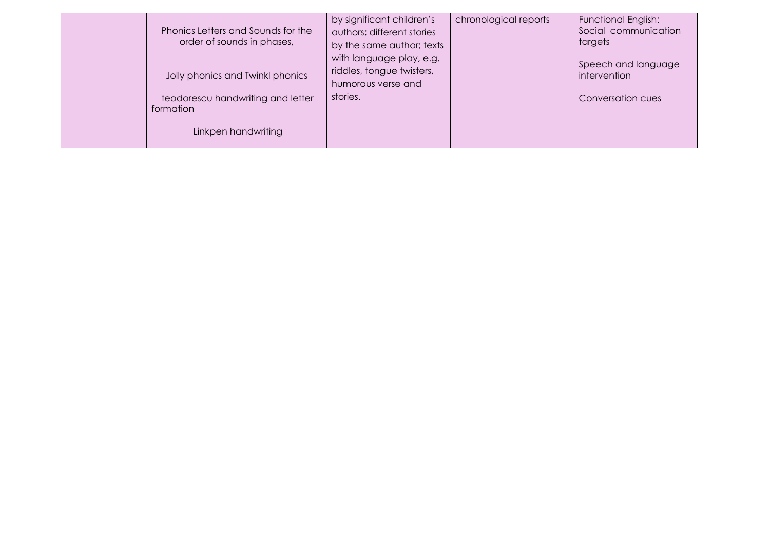| Phonics Letters and Sounds for the<br>order of sounds in phases,      | by significant children's<br>authors; different stories<br>by the same author; texts | chronological reports | <b>Functional English:</b><br>Social communication<br>targets |
|-----------------------------------------------------------------------|--------------------------------------------------------------------------------------|-----------------------|---------------------------------------------------------------|
| Jolly phonics and Twinkl phonics                                      | with language play, e.g.<br>riddles, tongue twisters,<br>humorous verse and          |                       | Speech and language<br>intervention                           |
| teodorescu handwriting and letter<br>formation<br>Linkpen handwriting | stories.                                                                             |                       | Conversation cues                                             |
|                                                                       |                                                                                      |                       |                                                               |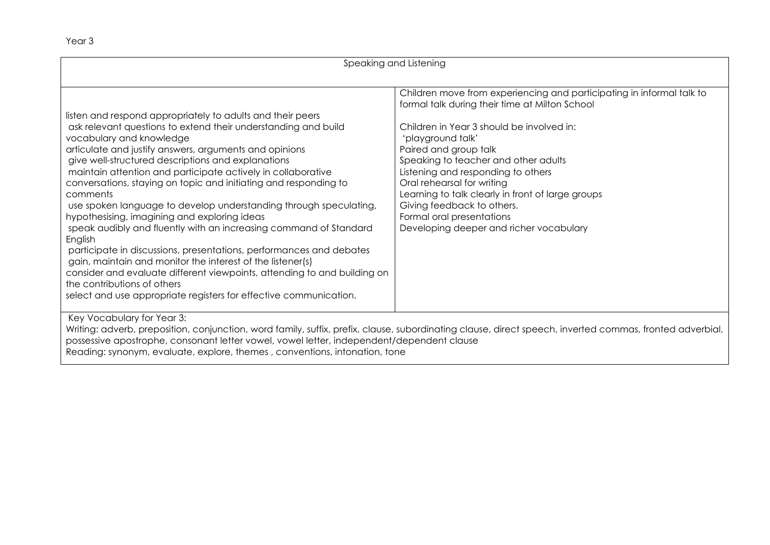| Speaking and Listening                                                                                                                                                                                                                                                                                                                                                                                                                                                                                                                                                                                                                                                                                                                                                                                                                                                                                                                                                           |                                                                                                                                                                                                                                                                                                                                                                                                                                                                                           |  |
|----------------------------------------------------------------------------------------------------------------------------------------------------------------------------------------------------------------------------------------------------------------------------------------------------------------------------------------------------------------------------------------------------------------------------------------------------------------------------------------------------------------------------------------------------------------------------------------------------------------------------------------------------------------------------------------------------------------------------------------------------------------------------------------------------------------------------------------------------------------------------------------------------------------------------------------------------------------------------------|-------------------------------------------------------------------------------------------------------------------------------------------------------------------------------------------------------------------------------------------------------------------------------------------------------------------------------------------------------------------------------------------------------------------------------------------------------------------------------------------|--|
| listen and respond appropriately to adults and their peers<br>ask relevant questions to extend their understanding and build<br>vocabulary and knowledge<br>articulate and justify answers, arguments and opinions<br>give well-structured descriptions and explanations<br>maintain attention and participate actively in collaborative<br>conversations, staying on topic and initiating and responding to<br>comments<br>use spoken language to develop understanding through speculating,<br>hypothesising, imagining and exploring ideas<br>speak audibly and fluently with an increasing command of Standard<br>English<br>participate in discussions, presentations, performances and debates<br>gain, maintain and monitor the interest of the listener(s)<br>consider and evaluate different viewpoints, attending to and building on<br>the contributions of others<br>select and use appropriate registers for effective communication.<br>Key Vocabulary for Year 3: | Children move from experiencing and participating in informal talk to<br>formal talk during their time at Milton School<br>Children in Year 3 should be involved in:<br>'playground talk'<br>Paired and group talk<br>Speaking to teacher and other adults<br>Listening and responding to others<br>Oral rehearsal for writing<br>Learning to talk clearly in front of large groups<br>Giving feedback to others.<br>Formal oral presentations<br>Developing deeper and richer vocabulary |  |
| possessive apostrophe, consonant letter vowel, vowel letter, independent/dependent clause                                                                                                                                                                                                                                                                                                                                                                                                                                                                                                                                                                                                                                                                                                                                                                                                                                                                                        | Writing: adverb, preposition, conjunction, word family, suffix, prefix, clause, subordinating clause, direct speech, inverted commas, fronted adverbial,                                                                                                                                                                                                                                                                                                                                  |  |

Reading: synonym, evaluate, explore, themes , conventions, intonation, tone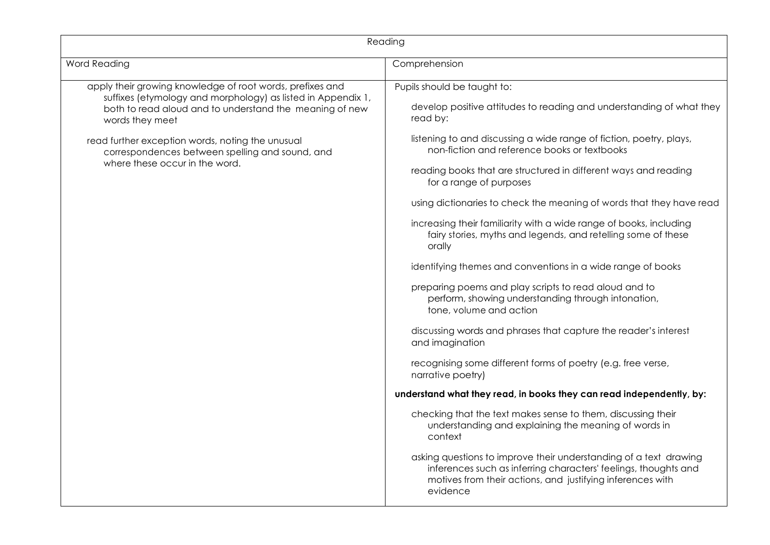| Reading                                                                                                                                                                                                 |                                                                                                                                                                                                                |  |  |
|---------------------------------------------------------------------------------------------------------------------------------------------------------------------------------------------------------|----------------------------------------------------------------------------------------------------------------------------------------------------------------------------------------------------------------|--|--|
| Word Reading                                                                                                                                                                                            | Comprehension                                                                                                                                                                                                  |  |  |
| apply their growing knowledge of root words, prefixes and<br>suffixes (etymology and morphology) as listed in Appendix 1,<br>both to read aloud and to understand the meaning of new<br>words they meet | Pupils should be taught to:<br>develop positive attitudes to reading and understanding of what they<br>read by:                                                                                                |  |  |
| read further exception words, noting the unusual<br>correspondences between spelling and sound, and                                                                                                     | listening to and discussing a wide range of fiction, poetry, plays,<br>non-fiction and reference books or textbooks                                                                                            |  |  |
| where these occur in the word.                                                                                                                                                                          | reading books that are structured in different ways and reading<br>for a range of purposes                                                                                                                     |  |  |
|                                                                                                                                                                                                         | using dictionaries to check the meaning of words that they have read                                                                                                                                           |  |  |
|                                                                                                                                                                                                         | increasing their familiarity with a wide range of books, including<br>fairy stories, myths and legends, and retelling some of these<br>orally                                                                  |  |  |
|                                                                                                                                                                                                         | identifying themes and conventions in a wide range of books                                                                                                                                                    |  |  |
|                                                                                                                                                                                                         | preparing poems and play scripts to read aloud and to<br>perform, showing understanding through intonation,<br>tone, volume and action                                                                         |  |  |
|                                                                                                                                                                                                         | discussing words and phrases that capture the reader's interest<br>and imagination                                                                                                                             |  |  |
|                                                                                                                                                                                                         | recognising some different forms of poetry (e.g. free verse,<br>narrative poetry)                                                                                                                              |  |  |
|                                                                                                                                                                                                         | understand what they read, in books they can read independently, by:                                                                                                                                           |  |  |
|                                                                                                                                                                                                         | checking that the text makes sense to them, discussing their<br>understanding and explaining the meaning of words in<br>context                                                                                |  |  |
|                                                                                                                                                                                                         | asking questions to improve their understanding of a text drawing<br>inferences such as inferring characters' feelings, thoughts and<br>motives from their actions, and justifying inferences with<br>evidence |  |  |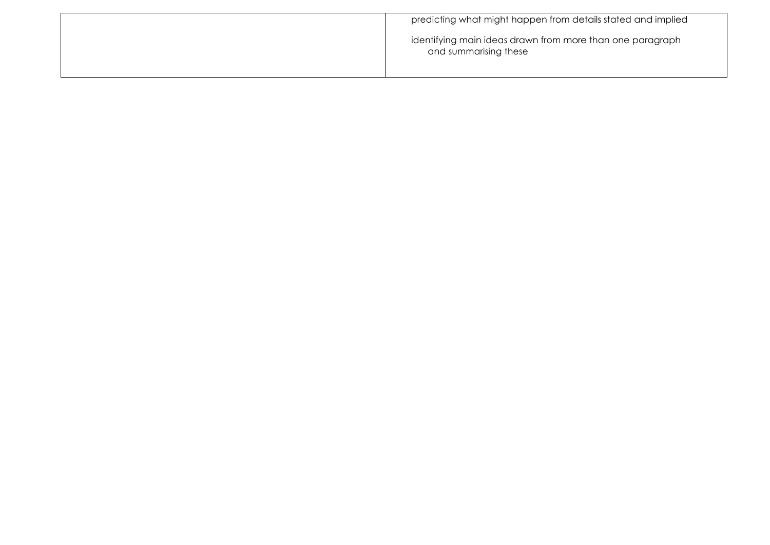| predicting what might happen from details stated and implied                       |
|------------------------------------------------------------------------------------|
| identifying main ideas drawn from more than one paragraph<br>and summarising these |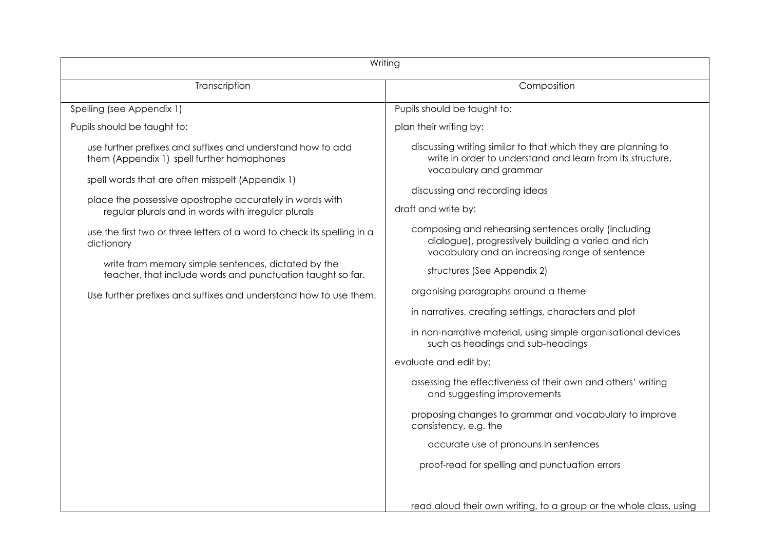| Writing                                                                                                                                                                                                                                                                                                                                                                                                                                                                                                                                                             |                                                                                                                                                                                                                                                                                                                                                                                                                                                                                                                                                                                                                        |  |
|---------------------------------------------------------------------------------------------------------------------------------------------------------------------------------------------------------------------------------------------------------------------------------------------------------------------------------------------------------------------------------------------------------------------------------------------------------------------------------------------------------------------------------------------------------------------|------------------------------------------------------------------------------------------------------------------------------------------------------------------------------------------------------------------------------------------------------------------------------------------------------------------------------------------------------------------------------------------------------------------------------------------------------------------------------------------------------------------------------------------------------------------------------------------------------------------------|--|
| Transcription                                                                                                                                                                                                                                                                                                                                                                                                                                                                                                                                                       | Composition                                                                                                                                                                                                                                                                                                                                                                                                                                                                                                                                                                                                            |  |
| Spelling (see Appendix 1)                                                                                                                                                                                                                                                                                                                                                                                                                                                                                                                                           | Pupils should be taught to:                                                                                                                                                                                                                                                                                                                                                                                                                                                                                                                                                                                            |  |
| Pupils should be taught to:                                                                                                                                                                                                                                                                                                                                                                                                                                                                                                                                         | plan their writing by:                                                                                                                                                                                                                                                                                                                                                                                                                                                                                                                                                                                                 |  |
| use further prefixes and suffixes and understand how to add<br>them (Appendix 1) spell further homophones<br>spell words that are often misspelt (Appendix 1)<br>place the possessive apostrophe accurately in words with<br>regular plurals and in words with irregular plurals<br>use the first two or three letters of a word to check its spelling in a<br>dictionary<br>write from memory simple sentences, dictated by the<br>teacher, that include words and punctuation taught so far.<br>Use further prefixes and suffixes and understand how to use them. | discussing writing similar to that which they are planning to<br>write in order to understand and learn from its structure,<br>vocabulary and grammar<br>discussing and recording ideas<br>draft and write by:<br>composing and rehearsing sentences orally (including<br>dialogue), progressively building a varied and rich<br>vocabulary and an increasing range of sentence<br>structures (See Appendix 2)<br>organising paragraphs around a theme<br>in narratives, creating settings, characters and plot<br>in non-narrative material, using simple organisational devices<br>such as headings and sub-headings |  |
|                                                                                                                                                                                                                                                                                                                                                                                                                                                                                                                                                                     | evaluate and edit by:<br>assessing the effectiveness of their own and others' writing<br>and suggesting improvements<br>proposing changes to grammar and vocabulary to improve<br>consistency, e.g. the<br>accurate use of pronouns in sentences<br>proof-read for spelling and punctuation errors<br>read aloud their own writing, to a group or the whole class, using                                                                                                                                                                                                                                               |  |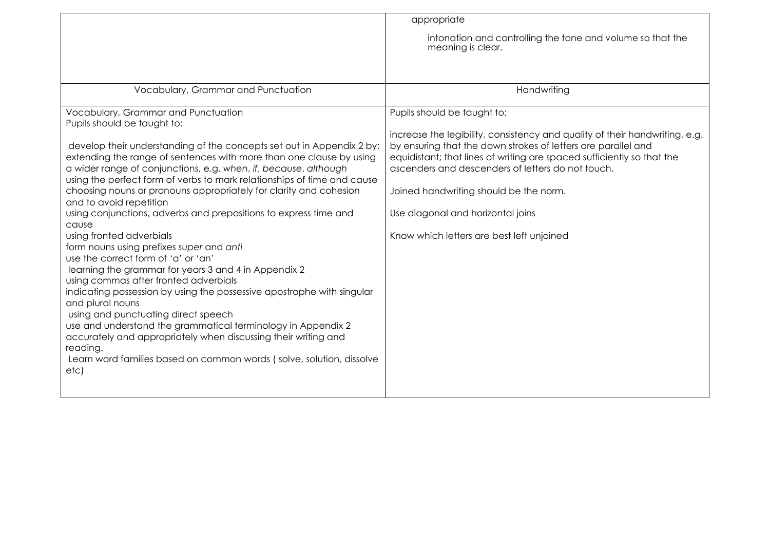|                                                                                                                                                                                                                                                                                                                                                                                                                                                                                                                                                                                                                                                                                                                                                                                                                                                                                                                                                                                                                                                  | appropriate                                                                                                                                                                                                                                                                                                                                                                                                                            |
|--------------------------------------------------------------------------------------------------------------------------------------------------------------------------------------------------------------------------------------------------------------------------------------------------------------------------------------------------------------------------------------------------------------------------------------------------------------------------------------------------------------------------------------------------------------------------------------------------------------------------------------------------------------------------------------------------------------------------------------------------------------------------------------------------------------------------------------------------------------------------------------------------------------------------------------------------------------------------------------------------------------------------------------------------|----------------------------------------------------------------------------------------------------------------------------------------------------------------------------------------------------------------------------------------------------------------------------------------------------------------------------------------------------------------------------------------------------------------------------------------|
|                                                                                                                                                                                                                                                                                                                                                                                                                                                                                                                                                                                                                                                                                                                                                                                                                                                                                                                                                                                                                                                  | intonation and controlling the tone and volume so that the<br>meaning is clear.                                                                                                                                                                                                                                                                                                                                                        |
|                                                                                                                                                                                                                                                                                                                                                                                                                                                                                                                                                                                                                                                                                                                                                                                                                                                                                                                                                                                                                                                  |                                                                                                                                                                                                                                                                                                                                                                                                                                        |
| Vocabulary, Grammar and Punctuation                                                                                                                                                                                                                                                                                                                                                                                                                                                                                                                                                                                                                                                                                                                                                                                                                                                                                                                                                                                                              | Handwriting                                                                                                                                                                                                                                                                                                                                                                                                                            |
| Vocabulary, Grammar and Punctuation<br>Pupils should be taught to:<br>develop their understanding of the concepts set out in Appendix 2 by:<br>extending the range of sentences with more than one clause by using<br>a wider range of conjunctions, e.g. when, if, because, although<br>using the perfect form of verbs to mark relationships of time and cause<br>choosing nouns or pronouns appropriately for clarity and cohesion<br>and to avoid repetition<br>using conjunctions, adverbs and prepositions to express time and<br>cause<br>using fronted adverbials<br>form nouns using prefixes super and anti<br>use the correct form of 'a' or 'an'<br>learning the grammar for years 3 and 4 in Appendix 2<br>using commas after fronted adverbials<br>indicating possession by using the possessive apostrophe with singular<br>and plural nouns<br>using and punctuating direct speech<br>use and understand the grammatical terminology in Appendix 2<br>accurately and appropriately when discussing their writing and<br>reading. | Pupils should be taught to:<br>increase the legibility, consistency and quality of their handwriting, e.g.<br>by ensuring that the down strokes of letters are parallel and<br>equidistant; that lines of writing are spaced sufficiently so that the<br>ascenders and descenders of letters do not touch.<br>Joined handwriting should be the norm.<br>Use diagonal and horizontal joins<br>Know which letters are best left unjoined |
| Learn word families based on common words (solve, solution, dissolve<br>etc)                                                                                                                                                                                                                                                                                                                                                                                                                                                                                                                                                                                                                                                                                                                                                                                                                                                                                                                                                                     |                                                                                                                                                                                                                                                                                                                                                                                                                                        |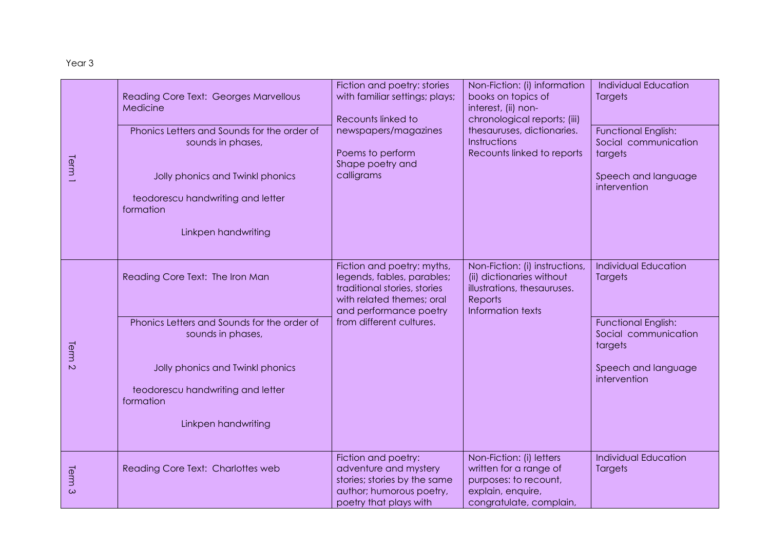| Term <sup>1</sup> | Reading Core Text: Georges Marvellous<br>Medicine                                  | Fiction and poetry: stories<br>with familiar settings; plays;<br>Recounts linked to                                                             | Non-Fiction: (i) information<br>books on topics of<br>interest, (ii) non-<br>chronological reports; (iii)                   | <b>Individual Education</b><br>Targets                        |
|-------------------|------------------------------------------------------------------------------------|-------------------------------------------------------------------------------------------------------------------------------------------------|-----------------------------------------------------------------------------------------------------------------------------|---------------------------------------------------------------|
|                   | Phonics Letters and Sounds for the order of<br>sounds in phases,                   | newspapers/magazines<br>Poems to perform<br>Shape poetry and                                                                                    | thesauruses, dictionaries.<br><b>Instructions</b><br>Recounts linked to reports                                             | <b>Functional English:</b><br>Social communication<br>targets |
|                   | Jolly phonics and Twinkl phonics<br>teodorescu handwriting and letter<br>formation | calligrams                                                                                                                                      |                                                                                                                             | Speech and language<br>intervention                           |
|                   | Linkpen handwriting                                                                |                                                                                                                                                 |                                                                                                                             |                                                               |
| Term <sub>2</sub> | Reading Core Text: The Iron Man                                                    | Fiction and poetry: myths,<br>legends, fables, parables;<br>traditional stories, stories<br>with related themes; oral<br>and performance poetry | Non-Fiction: (i) instructions,<br>(ii) dictionaries without<br>illustrations, thesauruses.<br>Reports<br>Information texts  | <b>Individual Education</b><br>Targets                        |
|                   | Phonics Letters and Sounds for the order of<br>sounds in phases,                   | from different cultures.                                                                                                                        |                                                                                                                             | <b>Functional English:</b><br>Social communication<br>targets |
|                   | Jolly phonics and Twinkl phonics<br>teodorescu handwriting and letter<br>formation |                                                                                                                                                 |                                                                                                                             | Speech and language<br>intervention                           |
|                   | Linkpen handwriting                                                                |                                                                                                                                                 |                                                                                                                             |                                                               |
| Term <sub>3</sub> | Reading Core Text: Charlottes web                                                  | Fiction and poetry:<br>adventure and mystery<br>stories; stories by the same<br>author; humorous poetry,<br>poetry that plays with              | Non-Fiction: (i) letters<br>written for a range of<br>purposes: to recount,<br>explain, enquire,<br>congratulate, complain, | <b>Individual Education</b><br>Targets                        |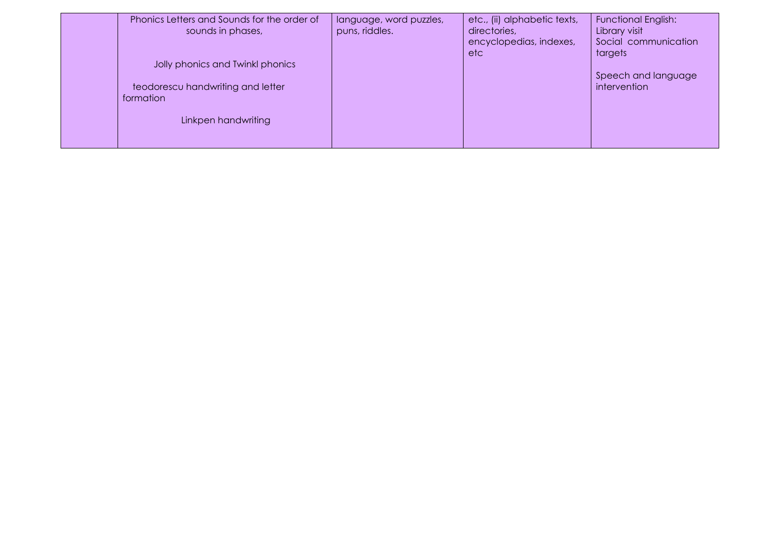| Phonics Letters and Sounds for the order of<br>sounds in phases,                                          | language, word puzzles,<br>puns, riddles. | etc., (ii) alphabetic texts,<br>directories,<br>encyclopedias, indexes,<br>etc. | <b>Functional English:</b><br>Library visit<br>Social communication<br>targets |
|-----------------------------------------------------------------------------------------------------------|-------------------------------------------|---------------------------------------------------------------------------------|--------------------------------------------------------------------------------|
| Jolly phonics and Twinkl phonics<br>teodorescu handwriting and letter<br>formation<br>Linkpen handwriting |                                           |                                                                                 | Speech and language<br>intervention                                            |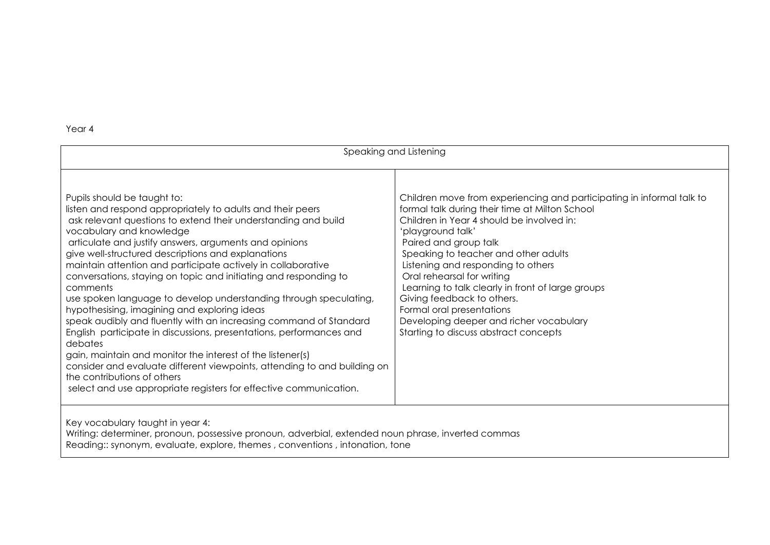| Speaking and Listening                                                                                                                                                                                                                                                                                                                                                                                                                                                                                                                                                                                                                                                                                                                                                                                                                                                                                                                                                            |                                                                                                                                                                                                                                                                                                                                                                                                                                                                                                                                    |  |
|-----------------------------------------------------------------------------------------------------------------------------------------------------------------------------------------------------------------------------------------------------------------------------------------------------------------------------------------------------------------------------------------------------------------------------------------------------------------------------------------------------------------------------------------------------------------------------------------------------------------------------------------------------------------------------------------------------------------------------------------------------------------------------------------------------------------------------------------------------------------------------------------------------------------------------------------------------------------------------------|------------------------------------------------------------------------------------------------------------------------------------------------------------------------------------------------------------------------------------------------------------------------------------------------------------------------------------------------------------------------------------------------------------------------------------------------------------------------------------------------------------------------------------|--|
| Pupils should be taught to:<br>listen and respond appropriately to adults and their peers<br>ask relevant questions to extend their understanding and build<br>vocabulary and knowledge<br>articulate and justify answers, arguments and opinions<br>give well-structured descriptions and explanations<br>maintain attention and participate actively in collaborative<br>conversations, staying on topic and initiating and responding to<br>comments<br>use spoken language to develop understanding through speculating,<br>hypothesising, imagining and exploring ideas<br>speak audibly and fluently with an increasing command of Standard<br>English participate in discussions, presentations, performances and<br>debates<br>gain, maintain and monitor the interest of the listener(s)<br>consider and evaluate different viewpoints, attending to and building on<br>the contributions of others<br>select and use appropriate registers for effective communication. | Children move from experiencing and participating in informal talk to<br>formal talk during their time at Milton School<br>Children in Year 4 should be involved in:<br>'playground talk'<br>Paired and group talk<br>Speaking to teacher and other adults<br>Listening and responding to others<br>Oral rehearsal for writing<br>Learning to talk clearly in front of large groups<br>Giving feedback to others.<br>Formal oral presentations<br>Developing deeper and richer vocabulary<br>Starting to discuss abstract concepts |  |
| Key vocabulary taught in year 4:<br>Writing: determiner, pronoun, possessive pronoun, adverbial, extended noun phrase, inverted commas<br>Reading: synonym, evaluate, explore, themes, conventions, intonation, tone                                                                                                                                                                                                                                                                                                                                                                                                                                                                                                                                                                                                                                                                                                                                                              |                                                                                                                                                                                                                                                                                                                                                                                                                                                                                                                                    |  |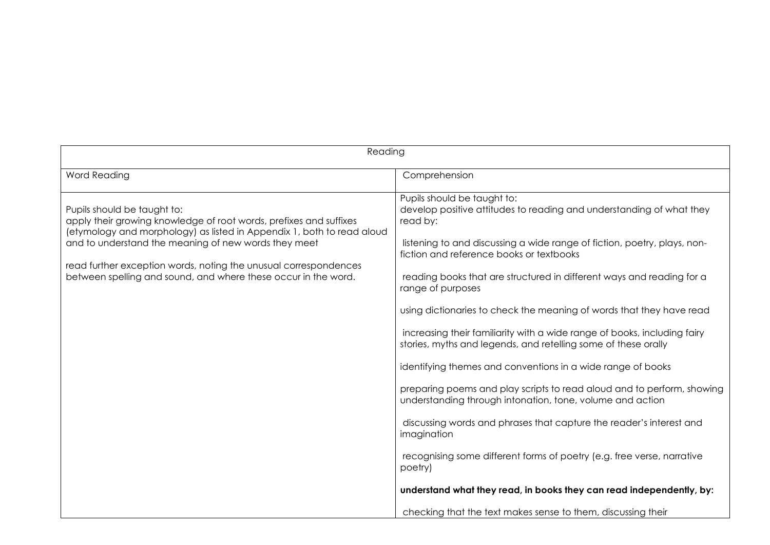| Reading                                                                                                                                                                                                                                                                                                                                                                   |                                                                                                                                                                                                                                                                                                                                                                                                                                                                                                                                                                                                                                                                                                                                                                                                                                                                                                                                                                                                                      |  |
|---------------------------------------------------------------------------------------------------------------------------------------------------------------------------------------------------------------------------------------------------------------------------------------------------------------------------------------------------------------------------|----------------------------------------------------------------------------------------------------------------------------------------------------------------------------------------------------------------------------------------------------------------------------------------------------------------------------------------------------------------------------------------------------------------------------------------------------------------------------------------------------------------------------------------------------------------------------------------------------------------------------------------------------------------------------------------------------------------------------------------------------------------------------------------------------------------------------------------------------------------------------------------------------------------------------------------------------------------------------------------------------------------------|--|
| Word Reading                                                                                                                                                                                                                                                                                                                                                              | Comprehension                                                                                                                                                                                                                                                                                                                                                                                                                                                                                                                                                                                                                                                                                                                                                                                                                                                                                                                                                                                                        |  |
| Pupils should be taught to:<br>apply their growing knowledge of root words, prefixes and suffixes<br>(etymology and morphology) as listed in Appendix 1, both to read aloud<br>and to understand the meaning of new words they meet<br>read further exception words, noting the unusual correspondences<br>between spelling and sound, and where these occur in the word. | Pupils should be taught to:<br>develop positive attitudes to reading and understanding of what they<br>read by:<br>listening to and discussing a wide range of fiction, poetry, plays, non-<br>fiction and reference books or textbooks<br>reading books that are structured in different ways and reading for a<br>range of purposes<br>using dictionaries to check the meaning of words that they have read<br>increasing their familiarity with a wide range of books, including fairy<br>stories, myths and legends, and retelling some of these orally<br>identifying themes and conventions in a wide range of books<br>preparing poems and play scripts to read aloud and to perform, showing<br>understanding through intonation, tone, volume and action<br>discussing words and phrases that capture the reader's interest and<br>imagination<br>recognising some different forms of poetry (e.g. free verse, narrative<br>poetry)<br>understand what they read, in books they can read independently, by: |  |
|                                                                                                                                                                                                                                                                                                                                                                           | checking that the text makes sense to them, discussing their                                                                                                                                                                                                                                                                                                                                                                                                                                                                                                                                                                                                                                                                                                                                                                                                                                                                                                                                                         |  |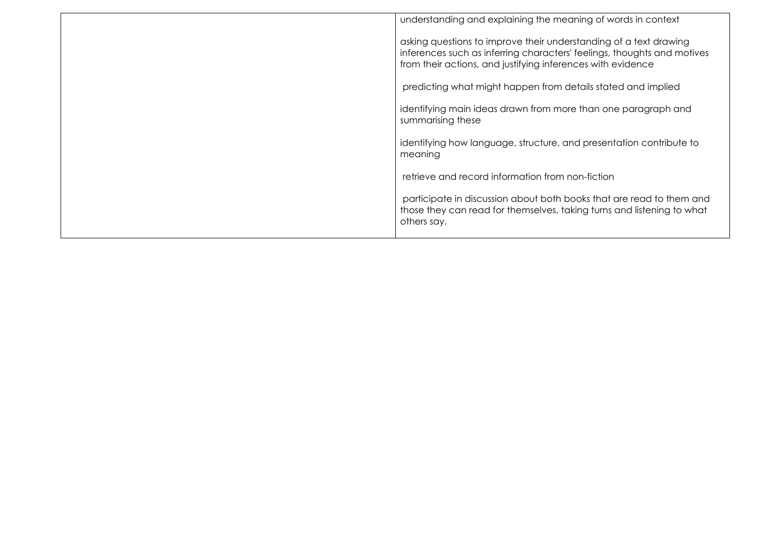| understanding and explaining the meaning of words in context                                                                                                                                                |
|-------------------------------------------------------------------------------------------------------------------------------------------------------------------------------------------------------------|
| asking questions to improve their understanding of a text drawing<br>inferences such as inferring characters' feelings, thoughts and motives<br>from their actions, and justifying inferences with evidence |
| predicting what might happen from details stated and implied                                                                                                                                                |
| identifying main ideas drawn from more than one paragraph and<br>summarising these                                                                                                                          |
| identifying how language, structure, and presentation contribute to<br>meaning                                                                                                                              |
| retrieve and record information from non-fiction                                                                                                                                                            |
| participate in discussion about both books that are read to them and<br>those they can read for themselves, taking turns and listening to what<br>others say.                                               |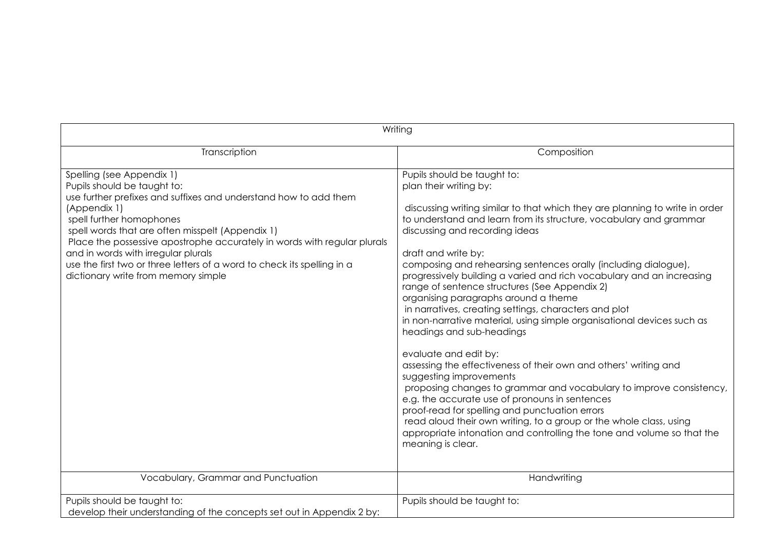| Writing                                                                                                                                                                                                                                                                                                                                                                                                                                                           |                                                                                                                                                                                                                                                                                                                                                                                                                                                                                                                                                                                                                                                                                                                                                                                                                                                                                                                                                                                                                                                                                                                                                   |  |
|-------------------------------------------------------------------------------------------------------------------------------------------------------------------------------------------------------------------------------------------------------------------------------------------------------------------------------------------------------------------------------------------------------------------------------------------------------------------|---------------------------------------------------------------------------------------------------------------------------------------------------------------------------------------------------------------------------------------------------------------------------------------------------------------------------------------------------------------------------------------------------------------------------------------------------------------------------------------------------------------------------------------------------------------------------------------------------------------------------------------------------------------------------------------------------------------------------------------------------------------------------------------------------------------------------------------------------------------------------------------------------------------------------------------------------------------------------------------------------------------------------------------------------------------------------------------------------------------------------------------------------|--|
| Transcription                                                                                                                                                                                                                                                                                                                                                                                                                                                     | Composition                                                                                                                                                                                                                                                                                                                                                                                                                                                                                                                                                                                                                                                                                                                                                                                                                                                                                                                                                                                                                                                                                                                                       |  |
| Spelling (see Appendix 1)<br>Pupils should be taught to:<br>use further prefixes and suffixes and understand how to add them<br>(Appendix 1)<br>spell further homophones<br>spell words that are often misspelt (Appendix 1)<br>Place the possessive apostrophe accurately in words with regular plurals<br>and in words with irregular plurals<br>use the first two or three letters of a word to check its spelling in a<br>dictionary write from memory simple | Pupils should be taught to:<br>plan their writing by:<br>discussing writing similar to that which they are planning to write in order<br>to understand and learn from its structure, vocabulary and grammar<br>discussing and recording ideas<br>draft and write by:<br>composing and rehearsing sentences orally (including dialogue),<br>progressively building a varied and rich vocabulary and an increasing<br>range of sentence structures (See Appendix 2)<br>organising paragraphs around a theme<br>in narratives, creating settings, characters and plot<br>in non-narrative material, using simple organisational devices such as<br>headings and sub-headings<br>evaluate and edit by:<br>assessing the effectiveness of their own and others' writing and<br>suggesting improvements<br>proposing changes to grammar and vocabulary to improve consistency,<br>e.g. the accurate use of pronouns in sentences<br>proof-read for spelling and punctuation errors<br>read aloud their own writing, to a group or the whole class, using<br>appropriate intonation and controlling the tone and volume so that the<br>meaning is clear. |  |
| Vocabulary, Grammar and Punctuation                                                                                                                                                                                                                                                                                                                                                                                                                               | Handwriting                                                                                                                                                                                                                                                                                                                                                                                                                                                                                                                                                                                                                                                                                                                                                                                                                                                                                                                                                                                                                                                                                                                                       |  |
| Pupils should be taught to:<br>develop their understanding of the concepts set out in Appendix 2 by:                                                                                                                                                                                                                                                                                                                                                              | Pupils should be taught to:                                                                                                                                                                                                                                                                                                                                                                                                                                                                                                                                                                                                                                                                                                                                                                                                                                                                                                                                                                                                                                                                                                                       |  |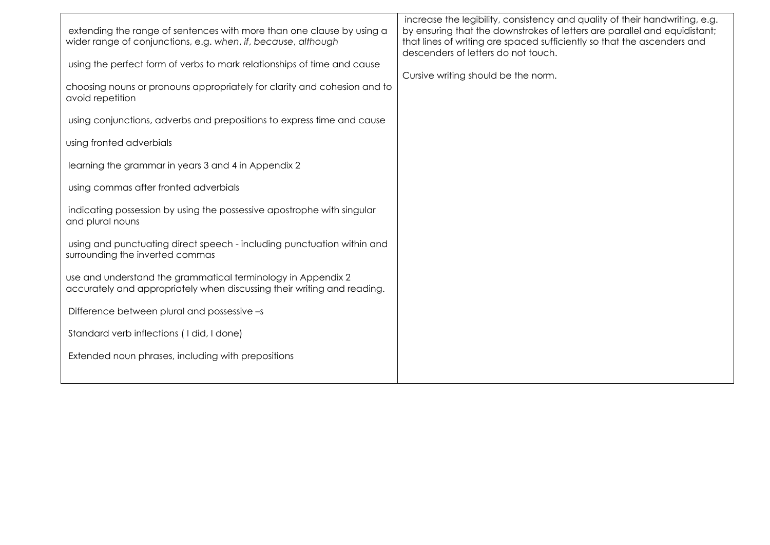| extending the range of sentences with more than one clause by using a<br>wider range of conjunctions, e.g. when, if, because, although  | increase the legibility, consistency and quality of their handwriting, e.g.<br>by ensuring that the downstrokes of letters are parallel and equidistant;<br>that lines of writing are spaced sufficiently so that the ascenders and<br>descenders of letters do not touch. |
|-----------------------------------------------------------------------------------------------------------------------------------------|----------------------------------------------------------------------------------------------------------------------------------------------------------------------------------------------------------------------------------------------------------------------------|
| using the perfect form of verbs to mark relationships of time and cause                                                                 |                                                                                                                                                                                                                                                                            |
| choosing nouns or pronouns appropriately for clarity and cohesion and to<br>avoid repetition                                            | Cursive writing should be the norm.                                                                                                                                                                                                                                        |
| using conjunctions, adverbs and prepositions to express time and cause                                                                  |                                                                                                                                                                                                                                                                            |
| using fronted adverbials                                                                                                                |                                                                                                                                                                                                                                                                            |
| learning the grammar in years 3 and 4 in Appendix 2                                                                                     |                                                                                                                                                                                                                                                                            |
| using commas after fronted adverbials                                                                                                   |                                                                                                                                                                                                                                                                            |
| indicating possession by using the possessive apostrophe with singular<br>and plural nouns                                              |                                                                                                                                                                                                                                                                            |
| using and punctuating direct speech - including punctuation within and<br>surrounding the inverted commas                               |                                                                                                                                                                                                                                                                            |
| use and understand the grammatical terminology in Appendix 2<br>accurately and appropriately when discussing their writing and reading. |                                                                                                                                                                                                                                                                            |
| Difference between plural and possessive -s                                                                                             |                                                                                                                                                                                                                                                                            |
| Standard verb inflections (I did, I done)                                                                                               |                                                                                                                                                                                                                                                                            |
| Extended noun phrases, including with prepositions                                                                                      |                                                                                                                                                                                                                                                                            |
|                                                                                                                                         |                                                                                                                                                                                                                                                                            |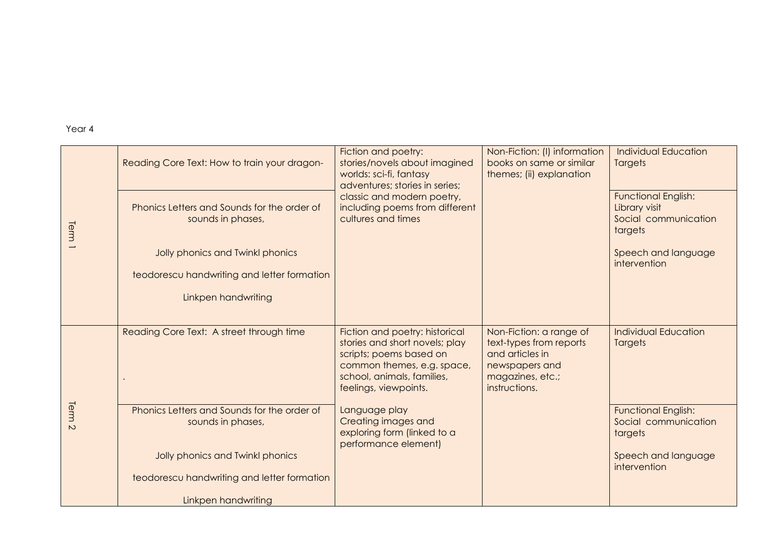|                | Reading Core Text: How to train your dragon-                     | Fiction and poetry:<br>stories/novels about imagined<br>worlds: sci-fi, fantasy<br>adventures; stories in series;<br>classic and modern poetry,<br>including poems from different<br>cultures and times | Non-Fiction: (I) information<br>books on same or similar<br>themes; (ii) explanation                                         | <b>Individual Education</b><br><b>Targets</b>                                  |
|----------------|------------------------------------------------------------------|---------------------------------------------------------------------------------------------------------------------------------------------------------------------------------------------------------|------------------------------------------------------------------------------------------------------------------------------|--------------------------------------------------------------------------------|
| Term           | Phonics Letters and Sounds for the order of<br>sounds in phases, |                                                                                                                                                                                                         |                                                                                                                              | <b>Functional English:</b><br>Library visit<br>Social communication<br>targets |
|                | Jolly phonics and Twinkl phonics                                 |                                                                                                                                                                                                         |                                                                                                                              | Speech and language<br>intervention                                            |
|                | teodorescu handwriting and letter formation                      |                                                                                                                                                                                                         |                                                                                                                              |                                                                                |
|                | Linkpen handwriting                                              |                                                                                                                                                                                                         |                                                                                                                              |                                                                                |
|                |                                                                  |                                                                                                                                                                                                         |                                                                                                                              |                                                                                |
|                | Reading Core Text: A street through time                         | Fiction and poetry: historical<br>stories and short novels; play<br>scripts; poems based on<br>common themes, e.g. space,<br>school, animals, families,<br>feelings, viewpoints.                        | Non-Fiction: a range of<br>text-types from reports<br>and articles in<br>newspapers and<br>magazines, etc.;<br>instructions. | <b>Individual Education</b><br><b>Targets</b>                                  |
| Term<br>$\sim$ | Phonics Letters and Sounds for the order of<br>sounds in phases, | Language play<br>Creating images and<br>exploring form (linked to a<br>performance element)                                                                                                             |                                                                                                                              | <b>Functional English:</b><br>Social communication<br>targets                  |
|                | Jolly phonics and Twinkl phonics                                 |                                                                                                                                                                                                         |                                                                                                                              | Speech and language<br>intervention                                            |
|                | teodorescu handwriting and letter formation                      |                                                                                                                                                                                                         |                                                                                                                              |                                                                                |
|                | Linkpen handwriting                                              |                                                                                                                                                                                                         |                                                                                                                              |                                                                                |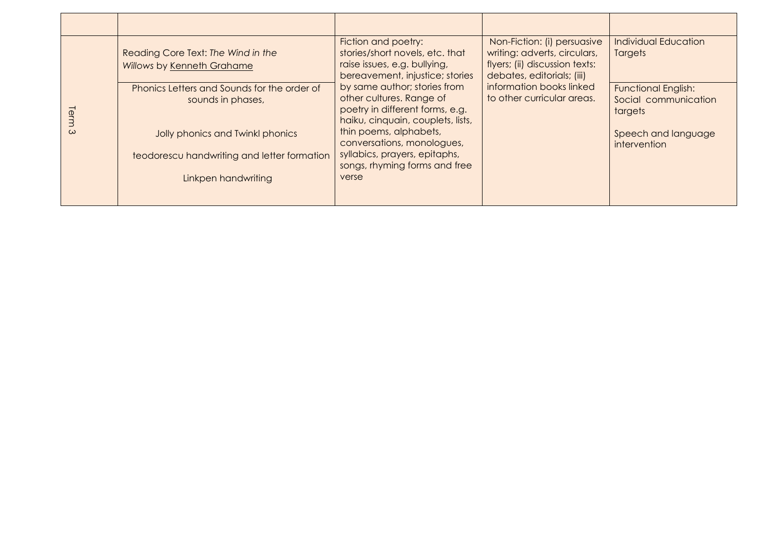| lem<br>$\omega$ | Reading Core Text: The Wind in the<br>Willows by Kenneth Grahame                                     | Fiction and poetry:<br>stories/short novels, etc. that<br>raise issues, e.g. bullying,<br>bereavement, injustice; stories<br>by same author; stories from<br>other cultures. Range of<br>poetry in different forms, e.g.<br>haiku, cinquain, couplets, lists,<br>thin poems, alphabets,<br>conversations, monologues,<br>syllabics, prayers, epitaphs,<br>songs, rhyming forms and free<br>verse | Non-Fiction: (i) persuasive<br>writing: adverts, circulars,<br>flyers; (ii) discussion texts:<br>debates, editorials; (iii)<br>information books linked<br>to other curricular areas. | <b>Individual Education</b><br><b>Targets</b>                                        |
|-----------------|------------------------------------------------------------------------------------------------------|--------------------------------------------------------------------------------------------------------------------------------------------------------------------------------------------------------------------------------------------------------------------------------------------------------------------------------------------------------------------------------------------------|---------------------------------------------------------------------------------------------------------------------------------------------------------------------------------------|--------------------------------------------------------------------------------------|
|                 | Phonics Letters and Sounds for the order of<br>sounds in phases,<br>Jolly phonics and Twinkl phonics |                                                                                                                                                                                                                                                                                                                                                                                                  |                                                                                                                                                                                       | <b>Functional English:</b><br>Social communication<br>targets<br>Speech and language |
|                 | teodorescu handwriting and letter formation<br>Linkpen handwriting                                   |                                                                                                                                                                                                                                                                                                                                                                                                  |                                                                                                                                                                                       | intervention                                                                         |
|                 |                                                                                                      |                                                                                                                                                                                                                                                                                                                                                                                                  |                                                                                                                                                                                       |                                                                                      |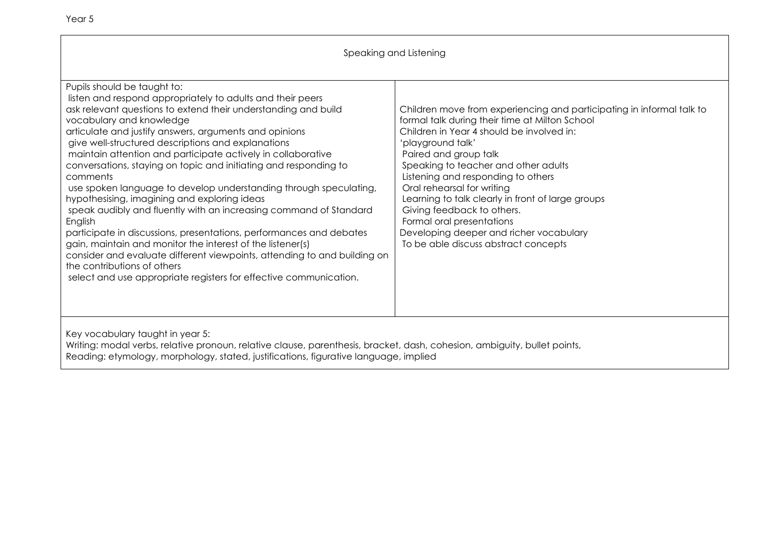| Speaking and Listening                                                                                                                                                                                                                                                                                                                                                                                                                                                                                                                                                                                                                                                                                                                                                                                                                                                                                                                                                            |                                                                                                                                                                                                                                                                                                                                                                                                                                                                                                                                   |  |
|-----------------------------------------------------------------------------------------------------------------------------------------------------------------------------------------------------------------------------------------------------------------------------------------------------------------------------------------------------------------------------------------------------------------------------------------------------------------------------------------------------------------------------------------------------------------------------------------------------------------------------------------------------------------------------------------------------------------------------------------------------------------------------------------------------------------------------------------------------------------------------------------------------------------------------------------------------------------------------------|-----------------------------------------------------------------------------------------------------------------------------------------------------------------------------------------------------------------------------------------------------------------------------------------------------------------------------------------------------------------------------------------------------------------------------------------------------------------------------------------------------------------------------------|--|
| Pupils should be taught to:<br>listen and respond appropriately to adults and their peers<br>ask relevant questions to extend their understanding and build<br>vocabulary and knowledge<br>articulate and justify answers, arguments and opinions<br>give well-structured descriptions and explanations<br>maintain attention and participate actively in collaborative<br>conversations, staying on topic and initiating and responding to<br>comments<br>use spoken language to develop understanding through speculating,<br>hypothesising, imagining and exploring ideas<br>speak audibly and fluently with an increasing command of Standard<br>English<br>participate in discussions, presentations, performances and debates<br>gain, maintain and monitor the interest of the listener(s)<br>consider and evaluate different viewpoints, attending to and building on<br>the contributions of others<br>select and use appropriate registers for effective communication. | Children move from experiencing and participating in informal talk to<br>formal talk during their time at Milton School<br>Children in Year 4 should be involved in:<br>'playground talk'<br>Paired and group talk<br>Speaking to teacher and other adults<br>Listening and responding to others<br>Oral rehearsal for writing<br>Learning to talk clearly in front of large groups<br>Giving feedback to others.<br>Formal oral presentations<br>Developing deeper and richer vocabulary<br>To be able discuss abstract concepts |  |
| Key vocabulary taught in year 5:<br>Writing: modal verbs, relative pronoun, relative clause, parenthesis, bracket, dash, cohesion, ambiguity, bullet points,<br>Reading: etymology, morphology, stated, justifications, figurative language, implied                                                                                                                                                                                                                                                                                                                                                                                                                                                                                                                                                                                                                                                                                                                              |                                                                                                                                                                                                                                                                                                                                                                                                                                                                                                                                   |  |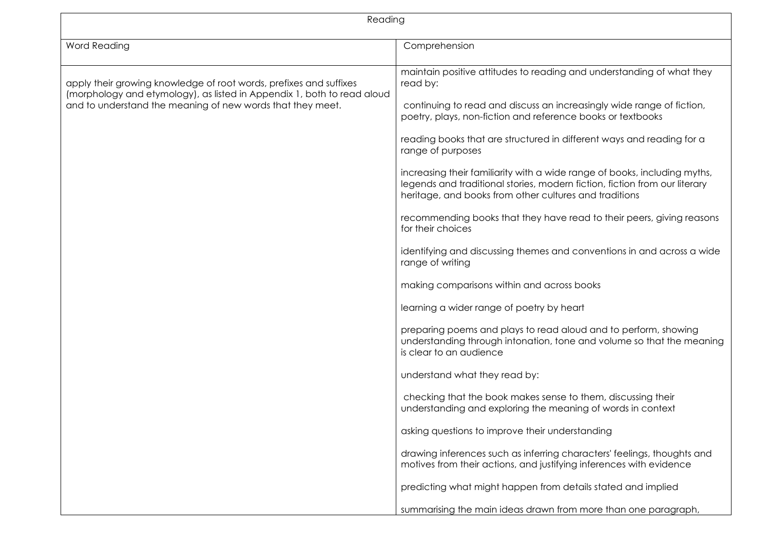| Reading                                                                                                                                                                                                     |                                                                                                                                                                                                                                                                                                                                                                                                                                                                                                                                                                                                                                                                                                                                                                                                                                                                                                                                                                                                                                             |  |
|-------------------------------------------------------------------------------------------------------------------------------------------------------------------------------------------------------------|---------------------------------------------------------------------------------------------------------------------------------------------------------------------------------------------------------------------------------------------------------------------------------------------------------------------------------------------------------------------------------------------------------------------------------------------------------------------------------------------------------------------------------------------------------------------------------------------------------------------------------------------------------------------------------------------------------------------------------------------------------------------------------------------------------------------------------------------------------------------------------------------------------------------------------------------------------------------------------------------------------------------------------------------|--|
| <b>Word Reading</b>                                                                                                                                                                                         | Comprehension                                                                                                                                                                                                                                                                                                                                                                                                                                                                                                                                                                                                                                                                                                                                                                                                                                                                                                                                                                                                                               |  |
| apply their growing knowledge of root words, prefixes and suffixes<br>(morphology and etymology), as listed in Appendix 1, both to read aloud<br>and to understand the meaning of new words that they meet. | maintain positive attitudes to reading and understanding of what they<br>read by:<br>continuing to read and discuss an increasingly wide range of fiction,<br>poetry, plays, non-fiction and reference books or textbooks<br>reading books that are structured in different ways and reading for a<br>range of purposes<br>increasing their familiarity with a wide range of books, including myths,<br>legends and traditional stories, modern fiction, fiction from our literary<br>heritage, and books from other cultures and traditions<br>recommending books that they have read to their peers, giving reasons<br>for their choices<br>identifying and discussing themes and conventions in and across a wide<br>range of writing<br>making comparisons within and across books<br>learning a wider range of poetry by heart<br>preparing poems and plays to read aloud and to perform, showing<br>understanding through intonation, tone and volume so that the meaning<br>is clear to an audience<br>understand what they read by: |  |
|                                                                                                                                                                                                             | checking that the book makes sense to them, discussing their<br>understanding and exploring the meaning of words in context                                                                                                                                                                                                                                                                                                                                                                                                                                                                                                                                                                                                                                                                                                                                                                                                                                                                                                                 |  |
|                                                                                                                                                                                                             | asking questions to improve their understanding                                                                                                                                                                                                                                                                                                                                                                                                                                                                                                                                                                                                                                                                                                                                                                                                                                                                                                                                                                                             |  |
|                                                                                                                                                                                                             | drawing inferences such as inferring characters' feelings, thoughts and<br>motives from their actions, and justifying inferences with evidence                                                                                                                                                                                                                                                                                                                                                                                                                                                                                                                                                                                                                                                                                                                                                                                                                                                                                              |  |
|                                                                                                                                                                                                             | predicting what might happen from details stated and implied                                                                                                                                                                                                                                                                                                                                                                                                                                                                                                                                                                                                                                                                                                                                                                                                                                                                                                                                                                                |  |
|                                                                                                                                                                                                             | summarising the main ideas drawn from more than one paragraph,                                                                                                                                                                                                                                                                                                                                                                                                                                                                                                                                                                                                                                                                                                                                                                                                                                                                                                                                                                              |  |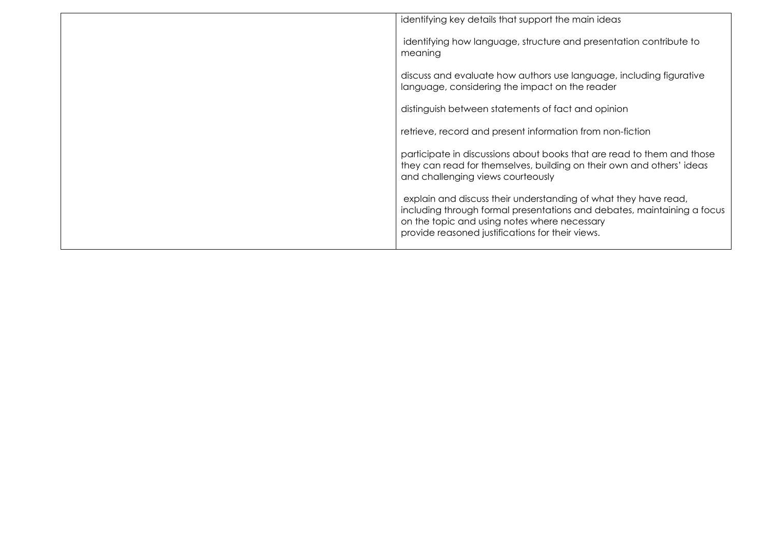| identifying key details that support the main ideas                                                                                                                                                                                            |
|------------------------------------------------------------------------------------------------------------------------------------------------------------------------------------------------------------------------------------------------|
| identifying how language, structure and presentation contribute to<br>meaning                                                                                                                                                                  |
| discuss and evaluate how authors use language, including figurative<br>language, considering the impact on the reader                                                                                                                          |
| distinguish between statements of fact and opinion                                                                                                                                                                                             |
| retrieve, record and present information from non-fiction                                                                                                                                                                                      |
| participate in discussions about books that are read to them and those<br>they can read for themselves, building on their own and others' ideas<br>and challenging views courteously                                                           |
| explain and discuss their understanding of what they have read,<br>including through formal presentations and debates, maintaining a focus<br>on the topic and using notes where necessary<br>provide reasoned justifications for their views. |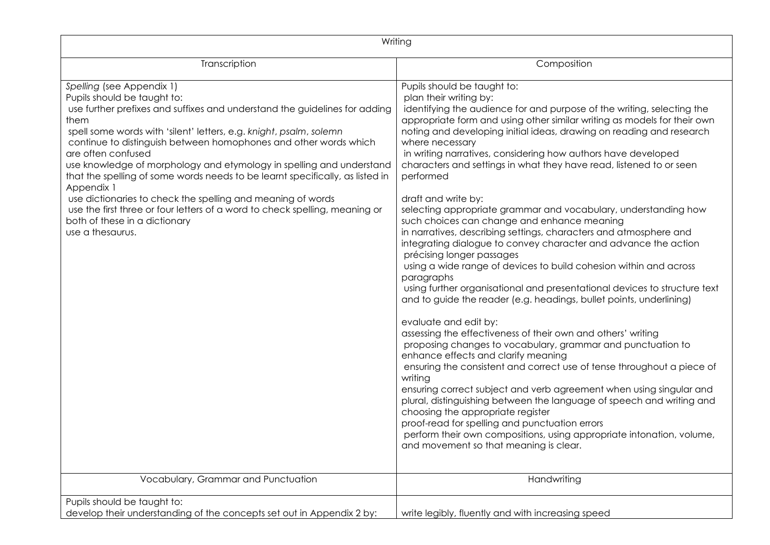| Writing                                                                                                                                                                                                                                                                                                                                                                                                                                                                                                                                                                                                                                                                                  |                                                                                                                                                                                                                                                                                                                                                                                                                                                                                                                                                                                                                                                                                                                                                                                                                                                                                                                                                                                                                                                                                                                                                                                                                                                                                                                                                                                                                                                                                                                                                                                                                                                                |  |
|------------------------------------------------------------------------------------------------------------------------------------------------------------------------------------------------------------------------------------------------------------------------------------------------------------------------------------------------------------------------------------------------------------------------------------------------------------------------------------------------------------------------------------------------------------------------------------------------------------------------------------------------------------------------------------------|----------------------------------------------------------------------------------------------------------------------------------------------------------------------------------------------------------------------------------------------------------------------------------------------------------------------------------------------------------------------------------------------------------------------------------------------------------------------------------------------------------------------------------------------------------------------------------------------------------------------------------------------------------------------------------------------------------------------------------------------------------------------------------------------------------------------------------------------------------------------------------------------------------------------------------------------------------------------------------------------------------------------------------------------------------------------------------------------------------------------------------------------------------------------------------------------------------------------------------------------------------------------------------------------------------------------------------------------------------------------------------------------------------------------------------------------------------------------------------------------------------------------------------------------------------------------------------------------------------------------------------------------------------------|--|
| Transcription                                                                                                                                                                                                                                                                                                                                                                                                                                                                                                                                                                                                                                                                            | Composition                                                                                                                                                                                                                                                                                                                                                                                                                                                                                                                                                                                                                                                                                                                                                                                                                                                                                                                                                                                                                                                                                                                                                                                                                                                                                                                                                                                                                                                                                                                                                                                                                                                    |  |
| Spelling (see Appendix 1)<br>Pupils should be taught to:<br>use further prefixes and suffixes and understand the guidelines for adding<br>them<br>spell some words with 'silent' letters, e.g. knight, psalm, solemn<br>continue to distinguish between homophones and other words which<br>are often confused<br>use knowledge of morphology and etymology in spelling and understand<br>that the spelling of some words needs to be learnt specifically, as listed in<br>Appendix 1<br>use dictionaries to check the spelling and meaning of words<br>use the first three or four letters of a word to check spelling, meaning or<br>both of these in a dictionary<br>use a thesaurus. | Pupils should be taught to:<br>plan their writing by:<br>identifying the audience for and purpose of the writing, selecting the<br>appropriate form and using other similar writing as models for their own<br>noting and developing initial ideas, drawing on reading and research<br>where necessary<br>in writing narratives, considering how authors have developed<br>characters and settings in what they have read, listened to or seen<br>performed<br>draft and write by:<br>selecting appropriate grammar and vocabulary, understanding how<br>such choices can change and enhance meaning<br>in narratives, describing settings, characters and atmosphere and<br>integrating dialogue to convey character and advance the action<br>précising longer passages<br>using a wide range of devices to build cohesion within and across<br>paragraphs<br>using further organisational and presentational devices to structure text<br>and to guide the reader (e.g. headings, bullet points, underlining)<br>evaluate and edit by:<br>assessing the effectiveness of their own and others' writing<br>proposing changes to vocabulary, grammar and punctuation to<br>enhance effects and clarify meaning<br>ensuring the consistent and correct use of tense throughout a piece of<br>writing<br>ensuring correct subject and verb agreement when using singular and<br>plural, distinguishing between the language of speech and writing and<br>choosing the appropriate register<br>proof-read for spelling and punctuation errors<br>perform their own compositions, using appropriate intonation, volume,<br>and movement so that meaning is clear. |  |
| Vocabulary, Grammar and Punctuation                                                                                                                                                                                                                                                                                                                                                                                                                                                                                                                                                                                                                                                      | Handwriting                                                                                                                                                                                                                                                                                                                                                                                                                                                                                                                                                                                                                                                                                                                                                                                                                                                                                                                                                                                                                                                                                                                                                                                                                                                                                                                                                                                                                                                                                                                                                                                                                                                    |  |
| Pupils should be taught to:<br>develop their understanding of the concepts set out in Appendix 2 by:                                                                                                                                                                                                                                                                                                                                                                                                                                                                                                                                                                                     | write legibly, fluently and with increasing speed                                                                                                                                                                                                                                                                                                                                                                                                                                                                                                                                                                                                                                                                                                                                                                                                                                                                                                                                                                                                                                                                                                                                                                                                                                                                                                                                                                                                                                                                                                                                                                                                              |  |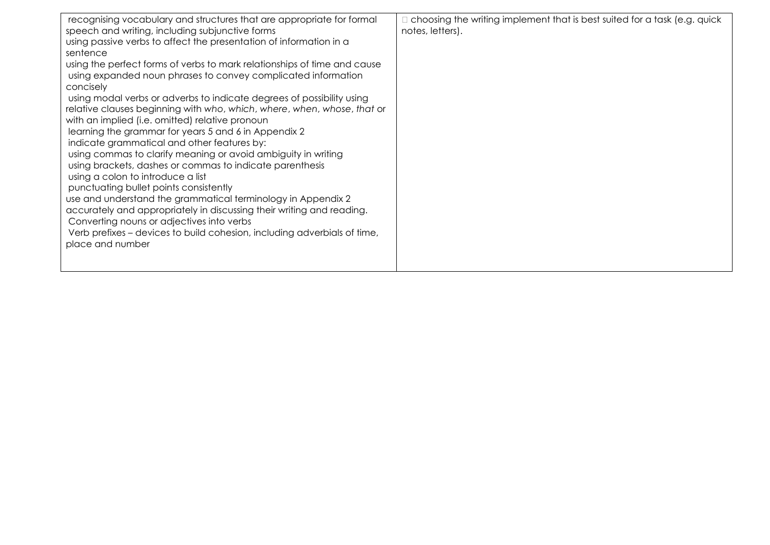| recognising vocabulary and structures that are appropriate for formal<br>speech and writing, including subjunctive forms<br>using passive verbs to affect the presentation of information in a<br>sentence<br>using the perfect forms of verbs to mark relationships of time and cause<br>using expanded noun phrases to convey complicated information<br>concisely<br>using modal verbs or adverbs to indicate degrees of possibility using<br>relative clauses beginning with who, which, where, when, whose, that or<br>with an implied (i.e. omitted) relative pronoun<br>learning the grammar for years 5 and 6 in Appendix 2<br>indicate grammatical and other features by:<br>using commas to clarify meaning or avoid ambiguity in writing<br>using brackets, dashes or commas to indicate parenthesis<br>using a colon to introduce a list<br>punctuating bullet points consistently<br>use and understand the grammatical terminology in Appendix 2<br>accurately and appropriately in discussing their writing and reading.<br>Converting nouns or adjectives into verbs<br>Verb prefixes – devices to build cohesion, including adverbials of time,<br>place and number | $\Box$ choosing the writing implement that is best suited for a task (e.g. quick<br>notes, letters). |
|--------------------------------------------------------------------------------------------------------------------------------------------------------------------------------------------------------------------------------------------------------------------------------------------------------------------------------------------------------------------------------------------------------------------------------------------------------------------------------------------------------------------------------------------------------------------------------------------------------------------------------------------------------------------------------------------------------------------------------------------------------------------------------------------------------------------------------------------------------------------------------------------------------------------------------------------------------------------------------------------------------------------------------------------------------------------------------------------------------------------------------------------------------------------------------------|------------------------------------------------------------------------------------------------------|
|--------------------------------------------------------------------------------------------------------------------------------------------------------------------------------------------------------------------------------------------------------------------------------------------------------------------------------------------------------------------------------------------------------------------------------------------------------------------------------------------------------------------------------------------------------------------------------------------------------------------------------------------------------------------------------------------------------------------------------------------------------------------------------------------------------------------------------------------------------------------------------------------------------------------------------------------------------------------------------------------------------------------------------------------------------------------------------------------------------------------------------------------------------------------------------------|------------------------------------------------------------------------------------------------------|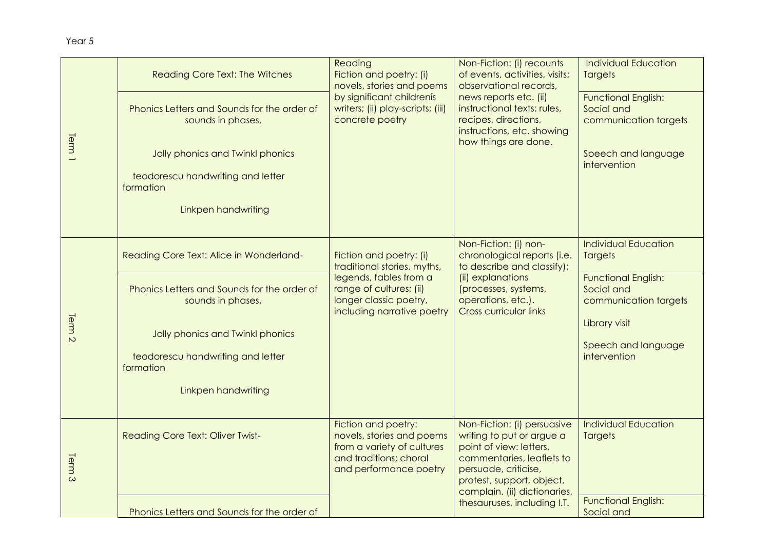| Term <sub>1</sub> | <b>Reading Core Text: The Witches</b>                                                                | Reading<br>Fiction and poetry: (i)<br>novels, stories and poems<br>by significant childrenís<br>writers; (ii) play-scripts; (iii)<br>concrete poetry | Non-Fiction: (i) recounts<br>of events, activities, visits;<br>observational records,<br>news reports etc. (ii)<br>instructional texts: rules,<br>recipes, directions,<br>instructions, etc. showing<br>how things are done. | <b>Individual Education</b><br><b>Targets</b>                                            |
|-------------------|------------------------------------------------------------------------------------------------------|------------------------------------------------------------------------------------------------------------------------------------------------------|------------------------------------------------------------------------------------------------------------------------------------------------------------------------------------------------------------------------------|------------------------------------------------------------------------------------------|
|                   | Phonics Letters and Sounds for the order of<br>sounds in phases,<br>Jolly phonics and Twinkl phonics |                                                                                                                                                      |                                                                                                                                                                                                                              | <b>Functional English:</b><br>Social and<br>communication targets<br>Speech and language |
|                   | teodorescu handwriting and letter<br>formation                                                       |                                                                                                                                                      |                                                                                                                                                                                                                              | intervention                                                                             |
|                   | Linkpen handwriting                                                                                  |                                                                                                                                                      |                                                                                                                                                                                                                              |                                                                                          |
|                   | Reading Core Text: Alice in Wonderland-                                                              | Fiction and poetry: (i)<br>traditional stories, myths,                                                                                               | Non-Fiction: (i) non-<br>chronological reports (i.e.<br>to describe and classify);                                                                                                                                           | <b>Individual Education</b><br><b>Targets</b>                                            |
| Term <sub>2</sub> | Phonics Letters and Sounds for the order of<br>sounds in phases,                                     | legends, fables from a<br>range of cultures; (ii)<br>longer classic poetry,<br>including narrative poetry                                            | (ii) explanations<br>(processes, systems,<br>operations, etc.).<br><b>Cross curricular links</b>                                                                                                                             | <b>Functional English:</b><br>Social and<br>communication targets                        |
|                   | Jolly phonics and Twinkl phonics                                                                     |                                                                                                                                                      |                                                                                                                                                                                                                              | Library visit<br>Speech and language                                                     |
|                   | teodorescu handwriting and letter<br>formation                                                       |                                                                                                                                                      |                                                                                                                                                                                                                              | intervention                                                                             |
|                   | Linkpen handwriting                                                                                  |                                                                                                                                                      |                                                                                                                                                                                                                              |                                                                                          |
| Term <sub>3</sub> | <b>Reading Core Text: Oliver Twist-</b>                                                              | Fiction and poetry:<br>novels, stories and poems<br>from a variety of cultures<br>and traditions; choral<br>and performance poetry                   | Non-Fiction: (i) persuasive<br>writing to put or argue a<br>point of view: letters,<br>commentaries, leaflets to<br>persuade, criticise,<br>protest, support, object,<br>complain. (ii) dictionaries,                        | <b>Individual Education</b><br><b>Targets</b>                                            |
|                   | Phonics Letters and Sounds for the order of                                                          |                                                                                                                                                      | thesauruses, including I.T.                                                                                                                                                                                                  | <b>Functional English:</b><br>Social and                                                 |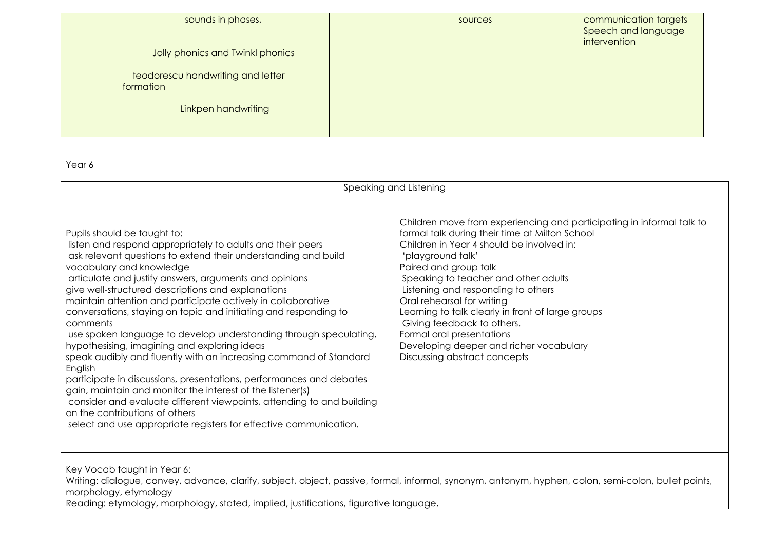| sounds in phases,<br>Jolly phonics and Twinkl phonics<br>teodorescu handwriting and letter<br>formation | sources | communication targets<br>Speech and language<br>intervention |
|---------------------------------------------------------------------------------------------------------|---------|--------------------------------------------------------------|
| Linkpen handwriting                                                                                     |         |                                                              |

| Children move from experiencing and participating in informal talk to<br>formal talk during their time at Milton School<br>Pupils should be taught to:<br>Children in Year 4 should be involved in:<br>listen and respond appropriately to adults and their peers<br>ask relevant questions to extend their understanding and build<br>'playground talk'<br>vocabulary and knowledge<br>Paired and group talk<br>articulate and justify answers, arguments and opinions<br>Speaking to teacher and other adults<br>give well-structured descriptions and explanations<br>Listening and responding to others<br>maintain attention and participate actively in collaborative<br>Oral rehearsal for writing<br>conversations, staying on topic and initiating and responding to<br>Learning to talk clearly in front of large groups<br>Giving feedback to others.<br>comments<br>Formal oral presentations<br>use spoken language to develop understanding through speculating,<br>hypothesising, imagining and exploring ideas<br>Developing deeper and richer vocabulary<br>speak audibly and fluently with an increasing command of Standard<br>Discussing abstract concepts<br>English<br>participate in discussions, presentations, performances and debates<br>gain, maintain and monitor the interest of the listener(s)<br>consider and evaluate different viewpoints, attending to and building | Speaking and Listening         |  |  |  |
|---------------------------------------------------------------------------------------------------------------------------------------------------------------------------------------------------------------------------------------------------------------------------------------------------------------------------------------------------------------------------------------------------------------------------------------------------------------------------------------------------------------------------------------------------------------------------------------------------------------------------------------------------------------------------------------------------------------------------------------------------------------------------------------------------------------------------------------------------------------------------------------------------------------------------------------------------------------------------------------------------------------------------------------------------------------------------------------------------------------------------------------------------------------------------------------------------------------------------------------------------------------------------------------------------------------------------------------------------------------------------------------------------------|--------------------------------|--|--|--|
| select and use appropriate registers for effective communication.                                                                                                                                                                                                                                                                                                                                                                                                                                                                                                                                                                                                                                                                                                                                                                                                                                                                                                                                                                                                                                                                                                                                                                                                                                                                                                                                       | on the contributions of others |  |  |  |

Key Vocab taught in Year 6:

Writing: dialogue, convey, advance, clarify, subject, object, passive, formal, informal, synonym, antonym, hyphen, colon, semi-colon, bullet points, morphology, etymology

Reading: etymology, morphology, stated, implied, justifications, figurative language,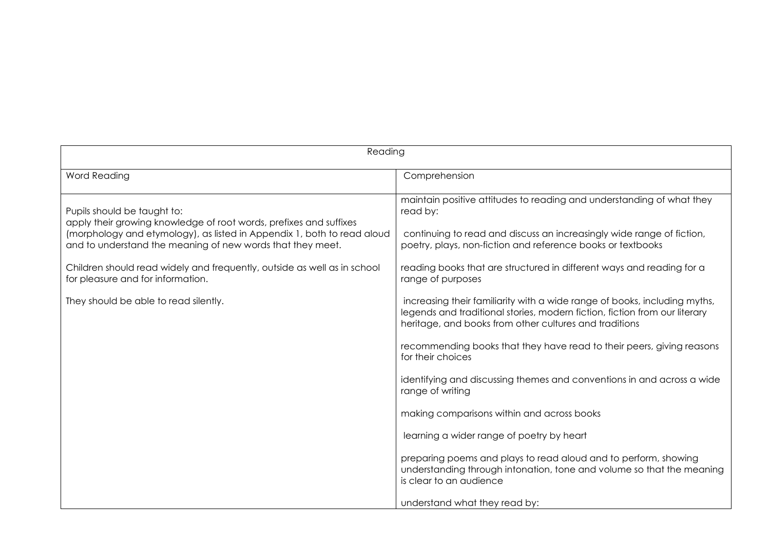| Reading                                                                                                                                                                                                                                                                                                                                                                                              |                                                                                                                                                                                                                                                                                                                                                                                                                                                                                                                                                                                                                                                                                                                                                                                                                                                                                                                                                                                                            |  |
|------------------------------------------------------------------------------------------------------------------------------------------------------------------------------------------------------------------------------------------------------------------------------------------------------------------------------------------------------------------------------------------------------|------------------------------------------------------------------------------------------------------------------------------------------------------------------------------------------------------------------------------------------------------------------------------------------------------------------------------------------------------------------------------------------------------------------------------------------------------------------------------------------------------------------------------------------------------------------------------------------------------------------------------------------------------------------------------------------------------------------------------------------------------------------------------------------------------------------------------------------------------------------------------------------------------------------------------------------------------------------------------------------------------------|--|
| Word Reading                                                                                                                                                                                                                                                                                                                                                                                         | Comprehension                                                                                                                                                                                                                                                                                                                                                                                                                                                                                                                                                                                                                                                                                                                                                                                                                                                                                                                                                                                              |  |
| Pupils should be taught to:<br>apply their growing knowledge of root words, prefixes and suffixes<br>(morphology and etymology), as listed in Appendix 1, both to read aloud<br>and to understand the meaning of new words that they meet.<br>Children should read widely and frequently, outside as well as in school<br>for pleasure and for information.<br>They should be able to read silently. | maintain positive attitudes to reading and understanding of what they<br>read by:<br>continuing to read and discuss an increasingly wide range of fiction,<br>poetry, plays, non-fiction and reference books or textbooks<br>reading books that are structured in different ways and reading for a<br>range of purposes<br>increasing their familiarity with a wide range of books, including myths,<br>legends and traditional stories, modern fiction, fiction from our literary<br>heritage, and books from other cultures and traditions<br>recommending books that they have read to their peers, giving reasons<br>for their choices<br>identifying and discussing themes and conventions in and across a wide<br>range of writing<br>making comparisons within and across books<br>learning a wider range of poetry by heart<br>preparing poems and plays to read aloud and to perform, showing<br>understanding through intonation, tone and volume so that the meaning<br>is clear to an audience |  |
|                                                                                                                                                                                                                                                                                                                                                                                                      | understand what they read by:                                                                                                                                                                                                                                                                                                                                                                                                                                                                                                                                                                                                                                                                                                                                                                                                                                                                                                                                                                              |  |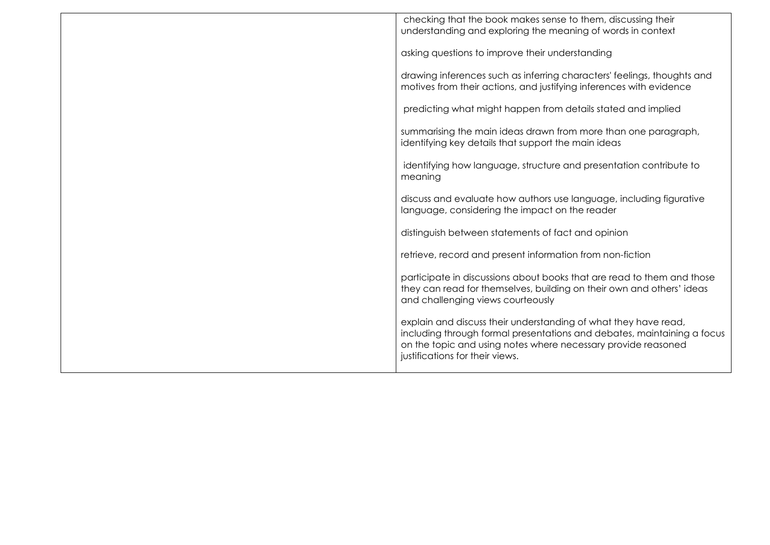| checking that the book makes sense to them, discussing their<br>understanding and exploring the meaning of words in context                                                                                                                    |
|------------------------------------------------------------------------------------------------------------------------------------------------------------------------------------------------------------------------------------------------|
| asking questions to improve their understanding                                                                                                                                                                                                |
| drawing inferences such as inferring characters' feelings, thoughts and<br>motives from their actions, and justifying inferences with evidence                                                                                                 |
| predicting what might happen from details stated and implied                                                                                                                                                                                   |
| summarising the main ideas drawn from more than one paragraph,<br>identifying key details that support the main ideas                                                                                                                          |
| identifying how language, structure and presentation contribute to<br>meaning                                                                                                                                                                  |
| discuss and evaluate how authors use language, including figurative<br>language, considering the impact on the reader                                                                                                                          |
| distinguish between statements of fact and opinion                                                                                                                                                                                             |
| retrieve, record and present information from non-fiction                                                                                                                                                                                      |
| participate in discussions about books that are read to them and those<br>they can read for themselves, building on their own and others' ideas<br>and challenging views courteously                                                           |
| explain and discuss their understanding of what they have read,<br>including through formal presentations and debates, maintaining a focus<br>on the topic and using notes where necessary provide reasoned<br>justifications for their views. |
|                                                                                                                                                                                                                                                |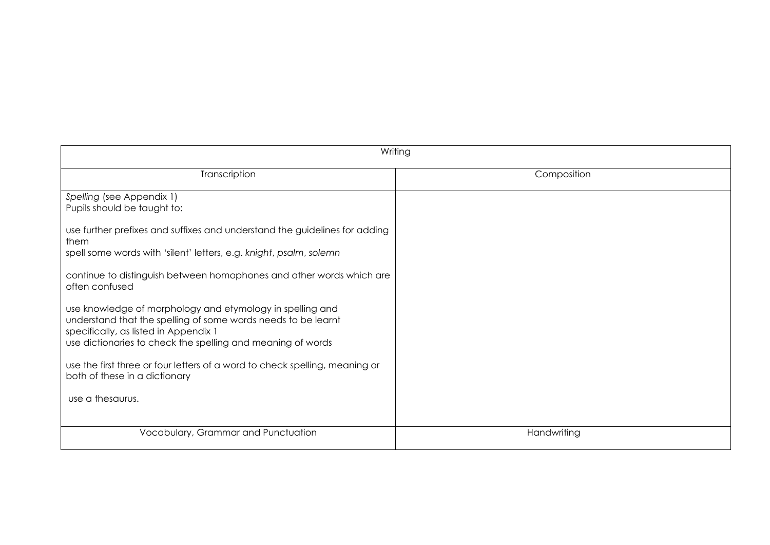| Writing                                                                                                                                                                                                                            |             |  |
|------------------------------------------------------------------------------------------------------------------------------------------------------------------------------------------------------------------------------------|-------------|--|
| Transcription                                                                                                                                                                                                                      | Composition |  |
| Spelling (see Appendix 1)<br>Pupils should be taught to:                                                                                                                                                                           |             |  |
| use further prefixes and suffixes and understand the guidelines for adding<br>them<br>spell some words with 'silent' letters, e.g. knight, psalm, solemn                                                                           |             |  |
| continue to distinguish between homophones and other words which are<br>often confused                                                                                                                                             |             |  |
| use knowledge of morphology and etymology in spelling and<br>understand that the spelling of some words needs to be learnt<br>specifically, as listed in Appendix 1<br>use dictionaries to check the spelling and meaning of words |             |  |
| use the first three or four letters of a word to check spelling, meaning or<br>both of these in a dictionary                                                                                                                       |             |  |
| use a thesaurus.                                                                                                                                                                                                                   |             |  |
| Vocabulary, Grammar and Punctuation                                                                                                                                                                                                | Handwriting |  |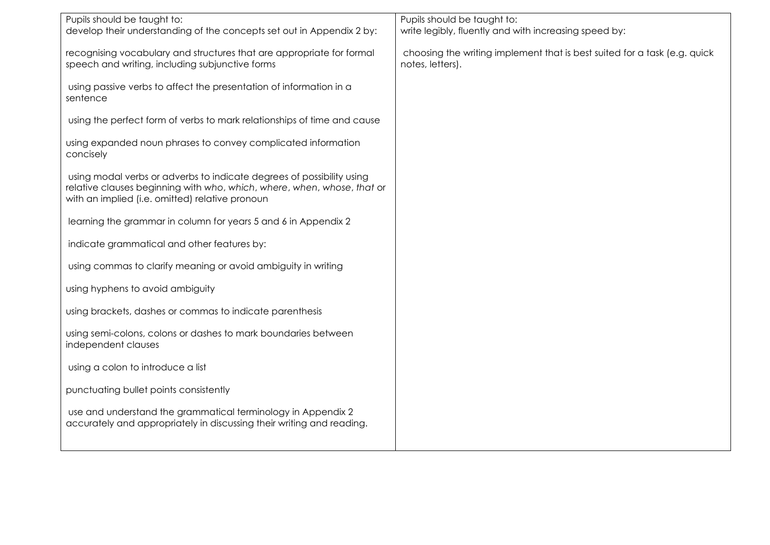| Pupils should be taught to:                                                                                                                                                                         | Pupils should be taught to:                                                                   |
|-----------------------------------------------------------------------------------------------------------------------------------------------------------------------------------------------------|-----------------------------------------------------------------------------------------------|
| develop their understanding of the concepts set out in Appendix 2 by:                                                                                                                               | write legibly, fluently and with increasing speed by:                                         |
| recognising vocabulary and structures that are appropriate for formal<br>speech and writing, including subjunctive forms                                                                            | choosing the writing implement that is best suited for a task (e.g. quick<br>notes, letters). |
| using passive verbs to affect the presentation of information in a<br>sentence                                                                                                                      |                                                                                               |
| using the perfect form of verbs to mark relationships of time and cause                                                                                                                             |                                                                                               |
| using expanded noun phrases to convey complicated information<br>concisely                                                                                                                          |                                                                                               |
| using modal verbs or adverbs to indicate degrees of possibility using<br>relative clauses beginning with who, which, where, when, whose, that or<br>with an implied (i.e. omitted) relative pronoun |                                                                                               |
| learning the grammar in column for years 5 and 6 in Appendix 2                                                                                                                                      |                                                                                               |
| indicate grammatical and other features by:                                                                                                                                                         |                                                                                               |
| using commas to clarify meaning or avoid ambiguity in writing                                                                                                                                       |                                                                                               |
| using hyphens to avoid ambiguity                                                                                                                                                                    |                                                                                               |
| using brackets, dashes or commas to indicate parenthesis                                                                                                                                            |                                                                                               |
| using semi-colons, colons or dashes to mark boundaries between<br>independent clauses                                                                                                               |                                                                                               |
| using a colon to introduce a list                                                                                                                                                                   |                                                                                               |
| punctuating bullet points consistently                                                                                                                                                              |                                                                                               |
| use and understand the grammatical terminology in Appendix 2<br>accurately and appropriately in discussing their writing and reading.                                                               |                                                                                               |
|                                                                                                                                                                                                     |                                                                                               |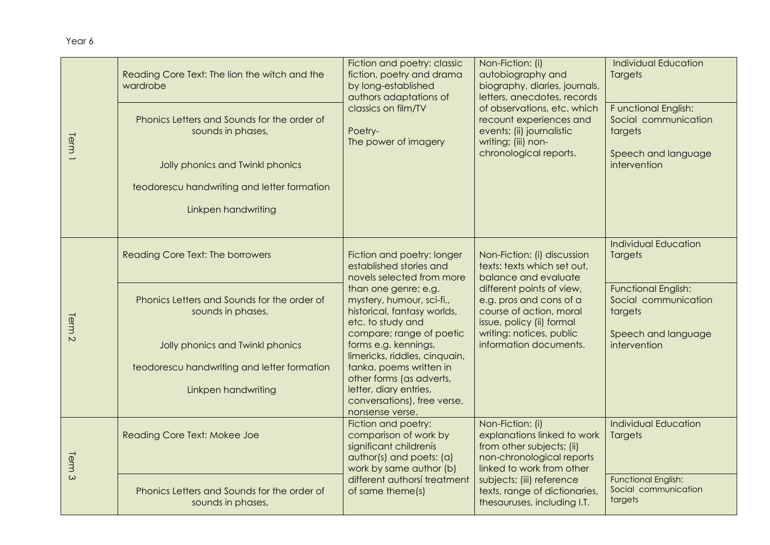| Term <sub>1</sub> | Reading Core Text: The lion the witch and the<br>wardrobe<br>Phonics Letters and Sounds for the order of<br>sounds in phases,<br>Jolly phonics and Twinkl phonics<br>teodorescu handwriting and letter formation<br>Linkpen handwriting | Fiction and poetry: classic<br>fiction, poetry and drama<br>by long-established<br>authors adaptations of<br>classics on film/TV<br>Poetry-<br>The power of imagery                                                                                                                                         | Non-Fiction: (i)<br>autobiography and<br>biography, diaries, journals,<br>letters, anecdotes, records<br>of observations, etc. which<br>recount experiences and<br>events; (ii) journalistic<br>writing; (iii) non-<br>chronological reports.            | <b>Individual Education</b><br><b>Targets</b><br>Functional English:<br>Social communication<br>targets<br>Speech and language<br>intervention |
|-------------------|-----------------------------------------------------------------------------------------------------------------------------------------------------------------------------------------------------------------------------------------|-------------------------------------------------------------------------------------------------------------------------------------------------------------------------------------------------------------------------------------------------------------------------------------------------------------|----------------------------------------------------------------------------------------------------------------------------------------------------------------------------------------------------------------------------------------------------------|------------------------------------------------------------------------------------------------------------------------------------------------|
| Term <sub>2</sub> | Reading Core Text: The borrowers<br>Phonics Letters and Sounds for the order of<br>sounds in phases,<br>Jolly phonics and Twinkl phonics<br>teodorescu handwriting and letter formation                                                 | Fiction and poetry: longer<br>established stories and<br>novels selected from more<br>than one genre; e.g.<br>mystery, humour, sci-fi.,<br>historical, fantasy worlds,<br>etc. to study and<br>compare; range of poetic<br>forms e.g. kennings,<br>limericks, riddles, cinquain,<br>tanka, poems written in | Non-Fiction: (i) discussion<br>texts: texts which set out,<br>balance and evaluate<br>different points of view,<br>e.g. pros and cons of a<br>course of action, moral<br>issue, policy (ii) formal<br>writing: notices, public<br>information documents. | <b>Individual Education</b><br>Targets<br><b>Functional English:</b><br>Social communication<br>targets<br>Speech and language<br>intervention |
|                   | Linkpen handwriting                                                                                                                                                                                                                     | other forms (as adverts,<br>letter, diary entries,<br>conversations), free verse,<br>nonsense verse.                                                                                                                                                                                                        |                                                                                                                                                                                                                                                          |                                                                                                                                                |
| Term <sub>3</sub> | Reading Core Text: Mokee Joe                                                                                                                                                                                                            | Fiction and poetry:<br>comparison of work by<br>significant childrenís<br>author(s) and poets: (a)<br>work by same author (b)                                                                                                                                                                               | Non-Fiction: (i)<br>explanations linked to work<br>from other subjects; (ii)<br>non-chronological reports<br>linked to work from other                                                                                                                   | <b>Individual Education</b><br>Targets                                                                                                         |
|                   | Phonics Letters and Sounds for the order of<br>sounds in phases,                                                                                                                                                                        | different authorsí treatment<br>of same theme(s)                                                                                                                                                                                                                                                            | subjects; (iii) reference<br>texts, range of dictionaries,<br>thesauruses, including I.T.                                                                                                                                                                | <b>Functional English:</b><br>Social communication<br>targets                                                                                  |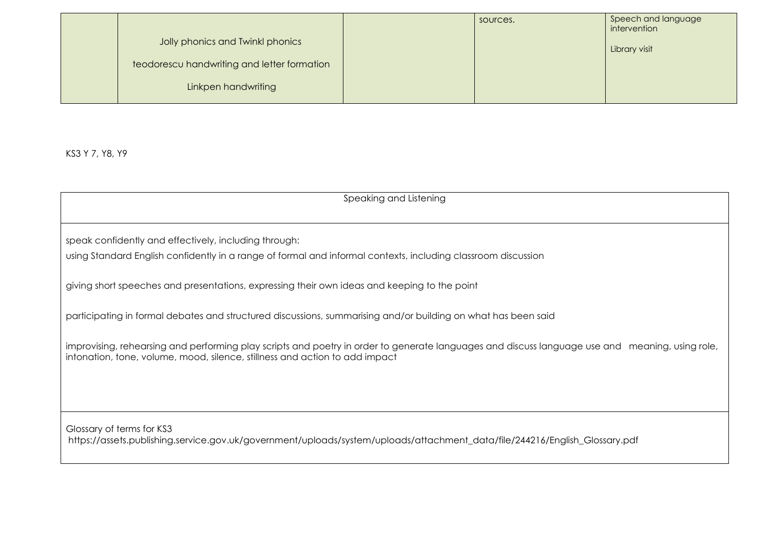|                                             | sources. | Speech and language<br>intervention |
|---------------------------------------------|----------|-------------------------------------|
| Jolly phonics and Twinkl phonics            |          | Library visit                       |
| teodorescu handwriting and letter formation |          |                                     |
| Linkpen handwriting                         |          |                                     |

KS3 Y 7, Y8, Y9

Speaking and Listening speak confidently and effectively, including through: using Standard English confidently in a range of formal and informal contexts, including classroom discussion giving short speeches and presentations, expressing their own ideas and keeping to the point participating in formal debates and structured discussions, summarising and/or building on what has been said improvising, rehearsing and performing play scripts and poetry in order to generate languages and discuss language use and meaning, using role, intonation, tone, volume, mood, silence, stillness and action to add impact Glossary of terms for KS3 https://assets.publishing.service.gov.uk/government/uploads/system/uploads/attachment\_data/file/244216/English\_Glossary.pdf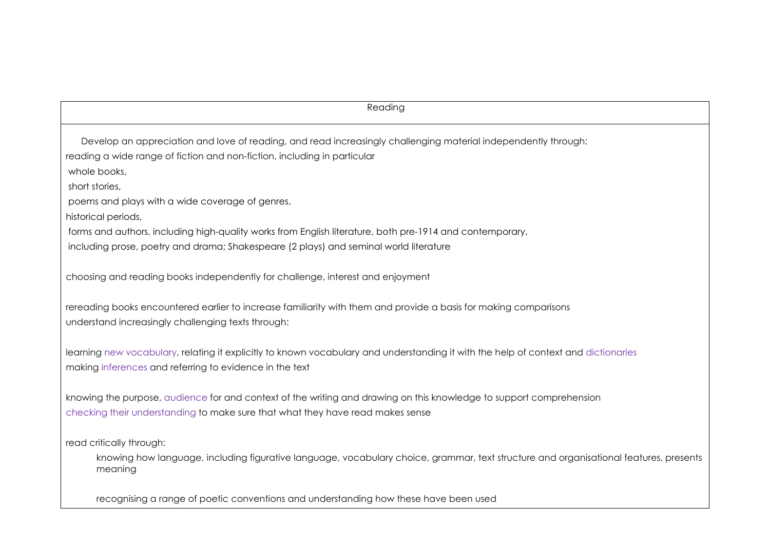reading the control of the control of the control of the control of the control of the control of the control o Develop an appreciation and love of reading, and read increasingly challenging material independently through: reading a wide range of fiction and non-fiction, including in particular whole books, short stories, poems and plays with a wide coverage of genres, historical periods, forms and authors, including high-quality works from English literature, both pre-1914 and contemporary, including prose, poetry and drama; Shakespeare (2 plays) and seminal world literature choosing and reading books independently for challenge, interest and enjoyment rereading books encountered earlier to increase familiarity with them and provide a basis for making comparisons understand increasingly challenging texts through: learning new vocabulary, relating it explicitly to known vocabulary and understanding it with the help of context and dictionaries making inferences and referring to evidence in the text knowing the purpose, audience for and context of the writing and drawing on this knowledge to support comprehension checking their understanding to make sure that what they have read makes sense read critically through: knowing how language, including figurative language, vocabulary choice, grammar, text structure and organisational features, presents meaning

recognising a range of poetic conventions and understanding how these have been used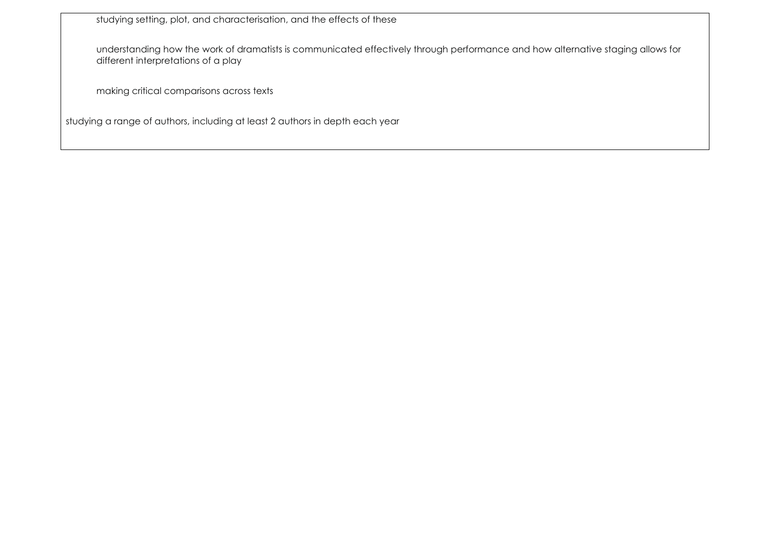studying setting, plot, and characterisation, and the effects of these

understanding how the work of dramatists is communicated effectively through performance and how alternative staging allows for different interpretations of a play

making critical comparisons across texts

studying a range of authors, including at least 2 authors in depth each year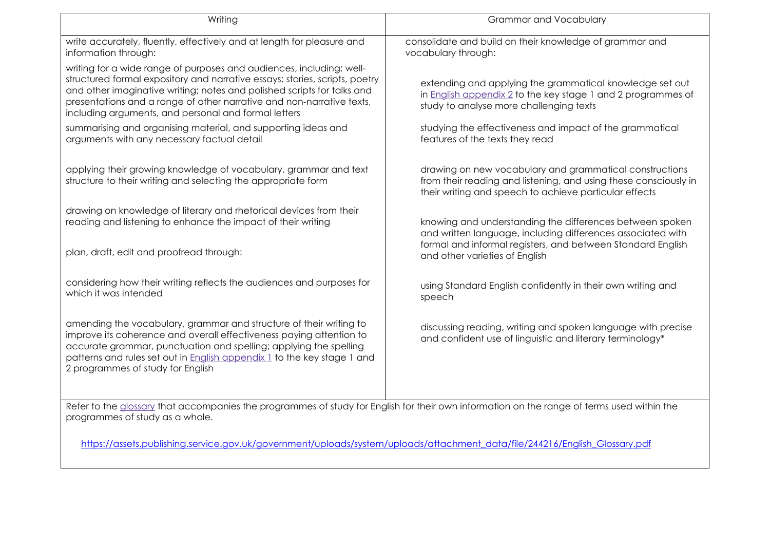| Writing                                                                                                                                                                                                                                                                                                                                                         | <b>Grammar and Vocabulary</b>                                                                                                                                                         |
|-----------------------------------------------------------------------------------------------------------------------------------------------------------------------------------------------------------------------------------------------------------------------------------------------------------------------------------------------------------------|---------------------------------------------------------------------------------------------------------------------------------------------------------------------------------------|
| write accurately, fluently, effectively and at length for pleasure and<br>information through:                                                                                                                                                                                                                                                                  | consolidate and build on their knowledge of grammar and<br>vocabulary through:                                                                                                        |
| writing for a wide range of purposes and audiences, including: well-<br>structured formal expository and narrative essays; stories, scripts, poetry<br>and other imaginative writing; notes and polished scripts for talks and<br>presentations and a range of other narrative and non-narrative texts,<br>including arguments, and personal and formal letters | extending and applying the grammatical knowledge set out<br>in English appendix 2 to the key stage 1 and 2 programmes of<br>study to analyse more challenging texts                   |
| summarising and organising material, and supporting ideas and<br>arguments with any necessary factual detail                                                                                                                                                                                                                                                    | studying the effectiveness and impact of the grammatical<br>features of the texts they read                                                                                           |
| applying their growing knowledge of vocabulary, grammar and text<br>structure to their writing and selecting the appropriate form                                                                                                                                                                                                                               | drawing on new vocabulary and grammatical constructions<br>from their reading and listening, and using these consciously in<br>their writing and speech to achieve particular effects |
| drawing on knowledge of literary and rhetorical devices from their<br>reading and listening to enhance the impact of their writing                                                                                                                                                                                                                              | knowing and understanding the differences between spoken<br>and written language, including differences associated with                                                               |
| plan, draft, edit and proofread through:                                                                                                                                                                                                                                                                                                                        | formal and informal registers, and between Standard English<br>and other varieties of English                                                                                         |
| considering how their writing reflects the audiences and purposes for<br>which it was intended                                                                                                                                                                                                                                                                  | using Standard English confidently in their own writing and<br>speech                                                                                                                 |
| amending the vocabulary, grammar and structure of their writing to<br>improve its coherence and overall effectiveness paying attention to<br>accurate grammar, punctuation and spelling; applying the spelling<br>patterns and rules set out in <b>English appendix 1</b> to the key stage 1 and<br>2 programmes of study for English                           | discussing reading, writing and spoken language with precise<br>and confident use of linguistic and literary terminology*                                                             |
| Refer to the glossary that accompanies the programmes of study for English for their own information on the range of terms used within the<br>programmes of study as a whole.                                                                                                                                                                                   |                                                                                                                                                                                       |

[https://assets.publishing.service.gov.uk/government/uploads/system/uploads/attachment\\_data/file/244216/English\\_Glossary.pdf](https://assets.publishing.service.gov.uk/government/uploads/system/uploads/attachment_data/file/244216/English_Glossary.pdf)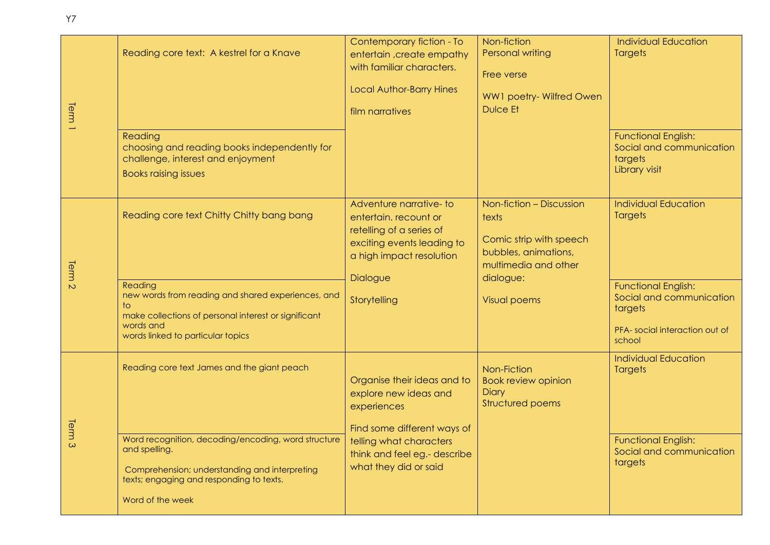| Term <sub>1</sub> | Reading core text: A kestrel for a Knave<br>Reading<br>choosing and reading books independently for<br>challenge, interest and enjoyment<br><b>Books raising issues</b>                                                              | Contemporary fiction - To<br>entertain, create empathy<br>with familiar characters.<br><b>Local Author-Barry Hines</b><br>film narratives                                              | Non-fiction<br>Personal writing<br>Free verse<br>WW1 poetry- Wilfred Owen<br><b>Dulce Et</b>                                                     | <b>Individual Education</b><br><b>Targets</b><br><b>Functional English:</b><br>Social and communication<br>targets<br>Library visit                           |
|-------------------|--------------------------------------------------------------------------------------------------------------------------------------------------------------------------------------------------------------------------------------|----------------------------------------------------------------------------------------------------------------------------------------------------------------------------------------|--------------------------------------------------------------------------------------------------------------------------------------------------|---------------------------------------------------------------------------------------------------------------------------------------------------------------|
| Term <sub>2</sub> | Reading core text Chitty Chitty bang bang<br>Reading<br>new words from reading and shared experiences, and<br>to<br>make collections of personal interest or significant<br>words and<br>words linked to particular topics           | Adventure narrative-to<br>entertain. recount or<br>retelling of a series of<br>exciting events leading to<br>a high impact resolution<br>Dialogue<br>Storytelling                      | Non-fiction - Discussion<br>texts<br>Comic strip with speech<br>bubbles, animations,<br>multimedia and other<br>dialogue:<br><b>Visual poems</b> | <b>Individual Education</b><br><b>Targets</b><br><b>Functional English:</b><br>Social and communication<br>targets<br>PFA-social interaction out of<br>school |
| Term<br>$\omega$  | Reading core text James and the giant peach<br>Word recognition, decoding/encoding, word structure<br>and spelling.<br>Comprehension; understanding and interpreting<br>texts; engaging and responding to texts.<br>Word of the week | Organise their ideas and to<br>explore new ideas and<br>experiences<br>Find some different ways of<br>telling what characters<br>think and feel eg.- describe<br>what they did or said | Non-Fiction<br><b>Book review opinion</b><br><b>Diary</b><br>Structured poems                                                                    | <b>Individual Education</b><br><b>Targets</b><br><b>Functional English:</b><br>Social and communication<br>targets                                            |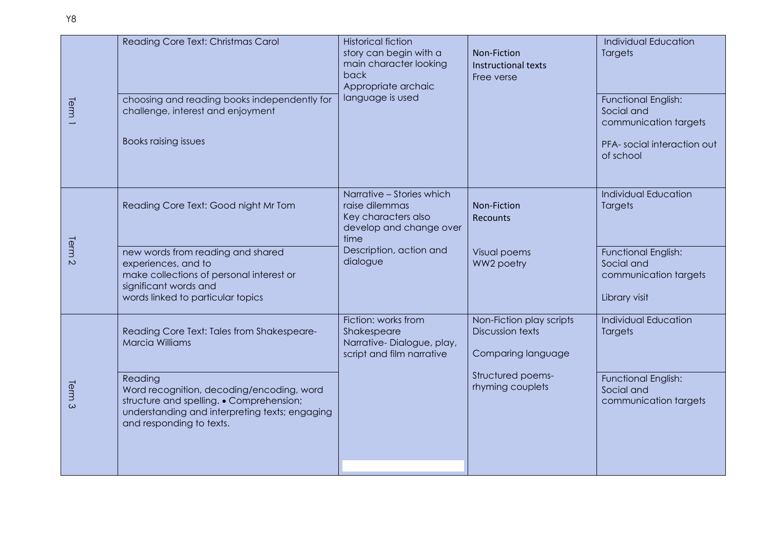| Term <sup>1</sup>      | Reading Core Text: Christmas Carol<br>choosing and reading books independently for<br>challenge, interest and enjoyment<br><b>Books raising issues</b>                                                                                                 | <b>Historical fiction</b><br>story can begin with a<br>main character looking<br>back<br>Appropriate archaic<br>language is used             | Non-Fiction<br>Instructional texts<br>Free verse                                                                   | <b>Individual Education</b><br>Targets<br><b>Functional English:</b><br>Social and<br>communication targets<br>PFA-social interaction out<br>of school |
|------------------------|--------------------------------------------------------------------------------------------------------------------------------------------------------------------------------------------------------------------------------------------------------|----------------------------------------------------------------------------------------------------------------------------------------------|--------------------------------------------------------------------------------------------------------------------|--------------------------------------------------------------------------------------------------------------------------------------------------------|
| Term<br>$\overline{C}$ | Reading Core Text: Good night Mr Tom<br>new words from reading and shared<br>experiences, and to<br>make collections of personal interest or<br>significant words and<br>words linked to particular topics                                             | Narrative - Stories which<br>raise dilemmas<br>Key characters also<br>develop and change over<br>time<br>Description, action and<br>dialogue | Non-Fiction<br><b>Recounts</b><br>Visual poems<br>WW2 poetry                                                       | <b>Individual Education</b><br>Targets<br>Functional English:<br>Social and<br>communication targets<br>Library visit                                  |
| lerm<br>$\infty$       | Reading Core Text: Tales from Shakespeare-<br><b>Marcia Williams</b><br>Reading<br>Word recognition, decoding/encoding, word<br>structure and spelling. • Comprehension;<br>understanding and interpreting texts; engaging<br>and responding to texts. | Fiction: works from<br>Shakespeare<br>Narrative-Dialogue, play,<br>script and film narrative                                                 | Non-Fiction play scripts<br><b>Discussion texts</b><br>Comparing language<br>Structured poems-<br>rhyming couplets | <b>Individual Education</b><br>Targets<br>Functional English:<br>Social and<br>communication targets                                                   |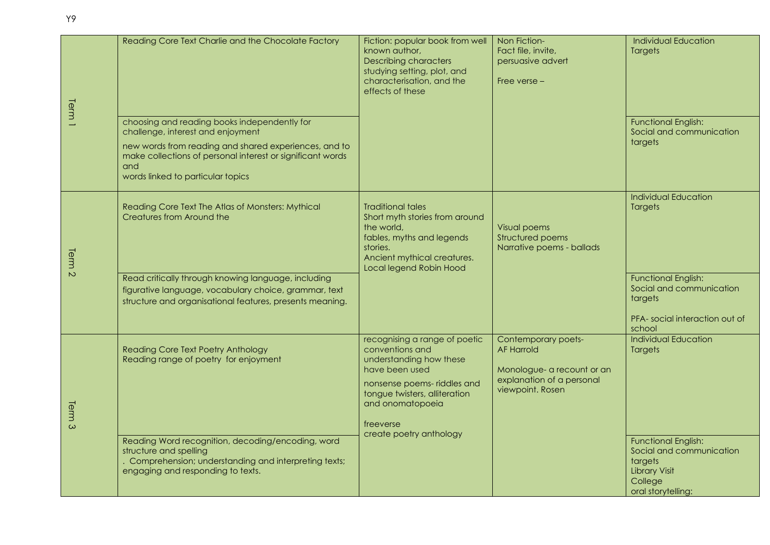| Term <sup>1</sup> | Reading Core Text Charlie and the Chocolate Factory<br>choosing and reading books independently for<br>challenge, interest and enjoyment<br>new words from reading and shared experiences, and to<br>make collections of personal interest or significant words<br>and<br>words linked to particular topics | Fiction: popular book from well<br>known author,<br><b>Describing characters</b><br>studying setting, plot, and<br>characterisation, and the<br>effects of these                                                          | Non Fiction-<br>Fact file, invite,<br>persuasive advert<br>Free verse -                                                 | <b>Individual Education</b><br><b>Targets</b><br><b>Functional English:</b><br>Social and communication<br>targets                                                                    |
|-------------------|-------------------------------------------------------------------------------------------------------------------------------------------------------------------------------------------------------------------------------------------------------------------------------------------------------------|---------------------------------------------------------------------------------------------------------------------------------------------------------------------------------------------------------------------------|-------------------------------------------------------------------------------------------------------------------------|---------------------------------------------------------------------------------------------------------------------------------------------------------------------------------------|
| Term <sub>2</sub> | Reading Core Text The Atlas of Monsters: Mythical<br>Creatures from Around the<br>Read critically through knowing language, including<br>figurative language, vocabulary choice, grammar, text<br>structure and organisational features, presents meaning.                                                  | <b>Traditional tales</b><br>Short myth stories from around<br>the world,<br>fables, myths and legends<br>stories.<br>Ancient mythical creatures.<br>Local legend Robin Hood                                               | <b>Visual poems</b><br>Structured poems<br>Narrative poems - ballads                                                    | <b>Individual Education</b><br><b>Targets</b><br><b>Functional English:</b><br>Social and communication<br>targets<br>PFA-social interaction out of                                   |
| Term <sub>3</sub> | <b>Reading Core Text Poetry Anthology</b><br>Reading range of poetry for enjoyment<br>Reading Word recognition, decoding/encoding, word<br>structure and spelling<br>Comprehension; understanding and interpreting texts;<br>engaging and responding to texts.                                              | recognising a range of poetic<br>conventions and<br>understanding how these<br>have been used<br>nonsense poems- riddles and<br>tongue twisters, alliteration<br>and onomatopoeia<br>freeverse<br>create poetry anthology | Contemporary poets-<br><b>AF Harrold</b><br>Monologue- a recount or an<br>explanation of a personal<br>viewpoint. Rosen | school<br><b>Individual Education</b><br><b>Targets</b><br><b>Functional English:</b><br>Social and communication<br>targets<br><b>Library Visit</b><br>College<br>oral storytelling: |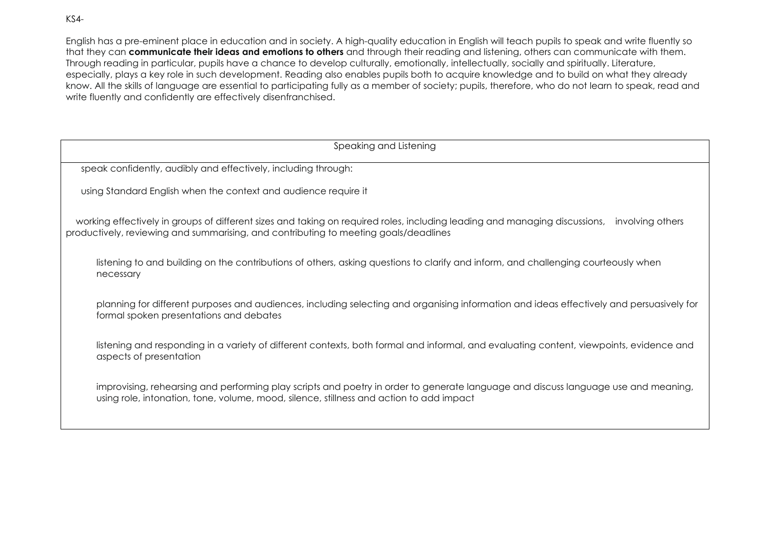KS4-

English has a pre-eminent place in education and in society. A high-quality education in English will teach pupils to speak and write fluently so that they can **communicate their ideas and emotions to others** and through their reading and listening, others can communicate with them. Through reading in particular, pupils have a chance to develop culturally, emotionally, intellectually, socially and spiritually. Literature, especially, plays a key role in such development. Reading also enables pupils both to acquire knowledge and to build on what they already know. All the skills of language are essential to participating fully as a member of society; pupils, therefore, who do not learn to speak, read and write fluently and confidently are effectively disenfranchised.

| Speaking and Listening                                                                                                                                                                                                              |  |  |
|-------------------------------------------------------------------------------------------------------------------------------------------------------------------------------------------------------------------------------------|--|--|
| speak confidently, audibly and effectively, including through:                                                                                                                                                                      |  |  |
| using Standard English when the context and audience require it                                                                                                                                                                     |  |  |
| working effectively in groups of different sizes and taking on required roles, including leading and managing discussions, involving others<br>productively, reviewing and summarising, and contributing to meeting goals/deadlines |  |  |
| listening to and building on the contributions of others, asking questions to clarify and inform, and challenging courteously when<br>necessary                                                                                     |  |  |
| planning for different purposes and audiences, including selecting and organising information and ideas effectively and persuasively for<br>formal spoken presentations and debates                                                 |  |  |
| listening and responding in a variety of different contexts, both formal and informal, and evaluating content, viewpoints, evidence and<br>aspects of presentation                                                                  |  |  |
| improvising, rehearsing and performing play scripts and poetry in order to generate language and discuss language use and meaning,<br>using role, intonation, tone, volume, mood, silence, stillness and action to add impact       |  |  |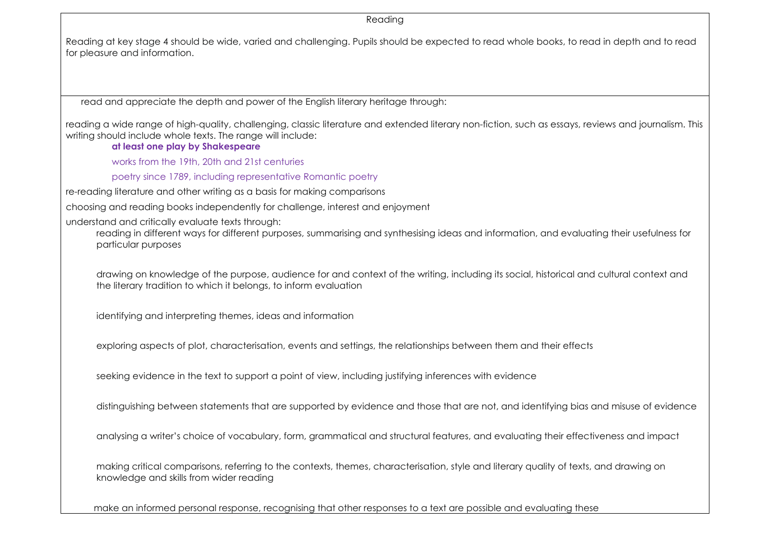Reading

Reading at key stage 4 should be wide, varied and challenging. Pupils should be expected to read whole books, to read in depth and to read for pleasure and information.

read and appreciate the depth and power of the English literary heritage through:

reading a wide range of high-quality, challenging, classic literature and extended literary non-fiction, such as essays, reviews and journalism. This writing should include whole texts. The range will include:

**at least one play by Shakespeare**

works from the 19th, 20th and 21st centuries

poetry since 1789, including representative Romantic poetry

re-reading literature and other writing as a basis for making comparisons

choosing and reading books independently for challenge, interest and enjoyment

understand and critically evaluate texts through:

reading in different ways for different purposes, summarising and synthesising ideas and information, and evaluating their usefulness for particular purposes

drawing on knowledge of the purpose, audience for and context of the writing, including its social, historical and cultural context and the literary tradition to which it belongs, to inform evaluation

identifying and interpreting themes, ideas and information

exploring aspects of plot, characterisation, events and settings, the relationships between them and their effects

seeking evidence in the text to support a point of view, including justifying inferences with evidence

distinguishing between statements that are supported by evidence and those that are not, and identifying bias and misuse of evidence

analysing a writer's choice of vocabulary, form, grammatical and structural features, and evaluating their effectiveness and impact

making critical comparisons, referring to the contexts, themes, characterisation, style and literary quality of texts, and drawing on knowledge and skills from wider reading

make an informed personal response, recognising that other responses to a text are possible and evaluating these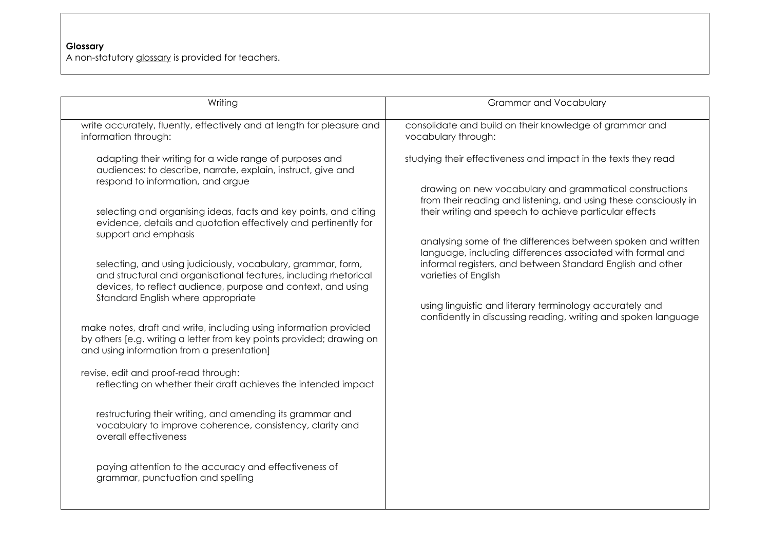#### **Glossary**

A non-statutory [glossary](https://www.gov.uk/government/uploads/system/uploads/attachment_data/file/238985/English_Glossary.pdf) is provided for teachers.

| Writing                                                                                                                                                                                                                                                                                                                                                                                                                                                                                                                                                                                                                                                                                                                                                                                                                                                                                                                                                                                                                                                                                                                      | <b>Grammar and Vocabulary</b>                                                                                                                                                                                                                                                                                                                                                                                                                                                                                                                                                                             |
|------------------------------------------------------------------------------------------------------------------------------------------------------------------------------------------------------------------------------------------------------------------------------------------------------------------------------------------------------------------------------------------------------------------------------------------------------------------------------------------------------------------------------------------------------------------------------------------------------------------------------------------------------------------------------------------------------------------------------------------------------------------------------------------------------------------------------------------------------------------------------------------------------------------------------------------------------------------------------------------------------------------------------------------------------------------------------------------------------------------------------|-----------------------------------------------------------------------------------------------------------------------------------------------------------------------------------------------------------------------------------------------------------------------------------------------------------------------------------------------------------------------------------------------------------------------------------------------------------------------------------------------------------------------------------------------------------------------------------------------------------|
| write accurately, fluently, effectively and at length for pleasure and<br>information through:                                                                                                                                                                                                                                                                                                                                                                                                                                                                                                                                                                                                                                                                                                                                                                                                                                                                                                                                                                                                                               | consolidate and build on their knowledge of grammar and<br>vocabulary through:                                                                                                                                                                                                                                                                                                                                                                                                                                                                                                                            |
| adapting their writing for a wide range of purposes and<br>audiences: to describe, narrate, explain, instruct, give and<br>respond to information, and argue<br>selecting and organising ideas, facts and key points, and citing<br>evidence, details and quotation effectively and pertinently for<br>support and emphasis<br>selecting, and using judiciously, vocabulary, grammar, form,<br>and structural and organisational features, including rhetorical<br>devices, to reflect audience, purpose and context, and using<br>Standard English where appropriate<br>make notes, draft and write, including using information provided<br>by others [e.g. writing a letter from key points provided; drawing on<br>and using information from a presentation]<br>revise, edit and proof-read through:<br>reflecting on whether their draft achieves the intended impact<br>restructuring their writing, and amending its grammar and<br>vocabulary to improve coherence, consistency, clarity and<br>overall effectiveness<br>paying attention to the accuracy and effectiveness of<br>grammar, punctuation and spelling | studying their effectiveness and impact in the texts they read<br>drawing on new vocabulary and grammatical constructions<br>from their reading and listening, and using these consciously in<br>their writing and speech to achieve particular effects<br>analysing some of the differences between spoken and written<br>language, including differences associated with formal and<br>informal registers, and between Standard English and other<br>varieties of English<br>using linguistic and literary terminology accurately and<br>confidently in discussing reading, writing and spoken language |
|                                                                                                                                                                                                                                                                                                                                                                                                                                                                                                                                                                                                                                                                                                                                                                                                                                                                                                                                                                                                                                                                                                                              |                                                                                                                                                                                                                                                                                                                                                                                                                                                                                                                                                                                                           |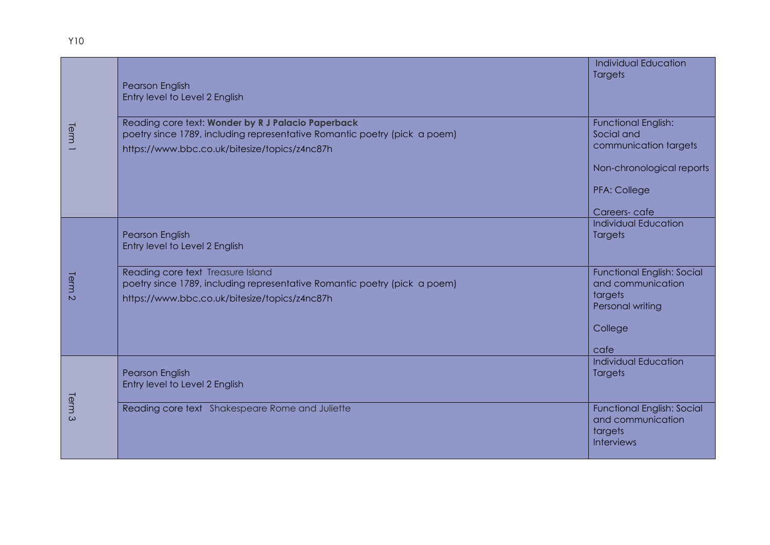| Term <sup>1</sup>               | Pearson English<br>Entry level to Level 2 English                                                                                                                                | <b>Individual Education</b><br><b>Targets</b>                                          |
|---------------------------------|----------------------------------------------------------------------------------------------------------------------------------------------------------------------------------|----------------------------------------------------------------------------------------|
|                                 | Reading core text: Wonder by R J Palacio Paperback<br>poetry since 1789, including representative Romantic poetry (pick a poem)<br>https://www.bbc.co.uk/bitesize/topics/z4nc87h | <b>Functional English:</b><br>Social and<br>communication targets                      |
|                                 |                                                                                                                                                                                  | Non-chronological reports                                                              |
|                                 |                                                                                                                                                                                  | PFA: College                                                                           |
|                                 |                                                                                                                                                                                  | Careers-cafe                                                                           |
| Term<br>$\overline{\mathsf{C}}$ | <b>Pearson English</b><br>Entry level to Level 2 English                                                                                                                         | <b>Individual Education</b><br><b>Targets</b>                                          |
|                                 | Reading core text Treasure Island<br>poetry since 1789, including representative Romantic poetry (pick a poem)<br>https://www.bbc.co.uk/bitesize/topics/z4nc87h                  | <b>Functional English: Social</b><br>and communication<br>targets<br>Personal writing  |
|                                 |                                                                                                                                                                                  | College<br>cafe                                                                        |
| Term<br>$\omega$                | Pearson English<br>Entry level to Level 2 English                                                                                                                                | <b>Individual Education</b><br><b>Targets</b>                                          |
|                                 | Reading core text Shakespeare Rome and Juliette                                                                                                                                  | <b>Functional English: Social</b><br>and communication<br>targets<br><b>Interviews</b> |

Y10